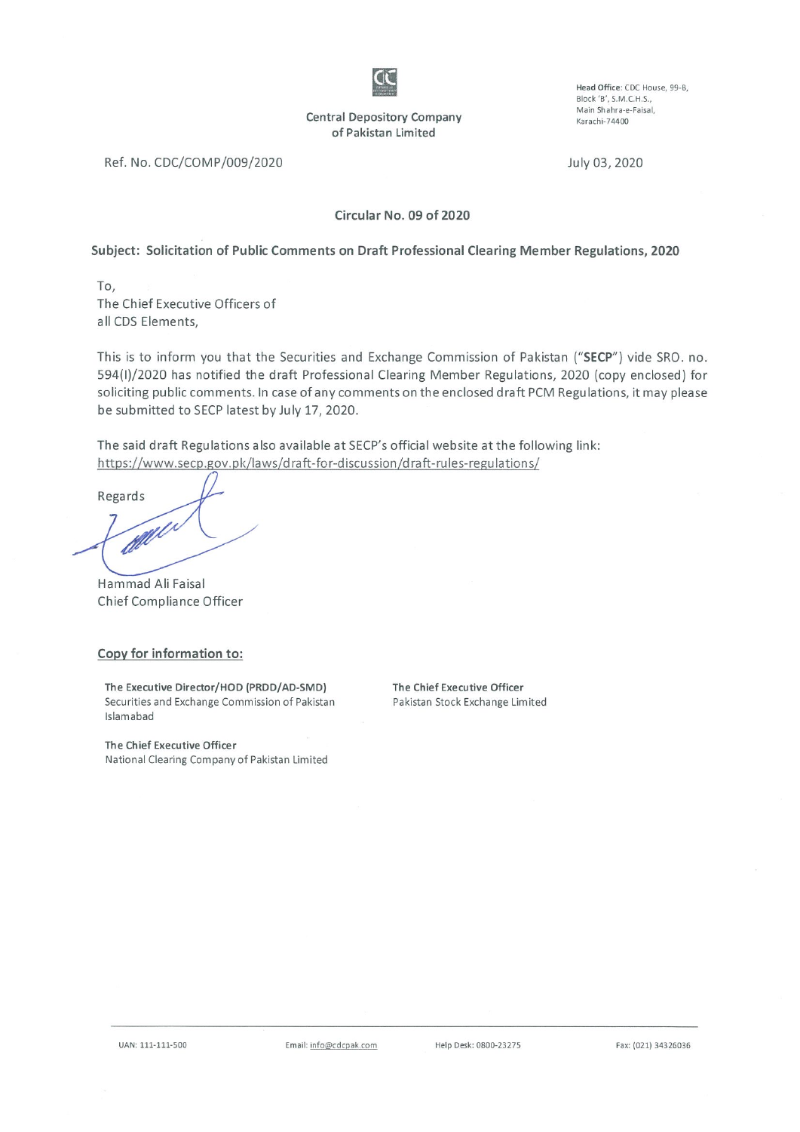

**Central Depository Company** of Pakistan Limited

Head Office: CDC House, 99-B, Block 'B', S.M.C.H.S., Main Shahra-e-Faisal, Karachi-74400

Ref. No. CDC/COMP/009/2020

July 03, 2020

Circular No. 09 of 2020

#### Subject: Solicitation of Public Comments on Draft Professional Clearing Member Regulations, 2020

To, The Chief Executive Officers of all CDS Elements,

This is to inform you that the Securities and Exchange Commission of Pakistan ("SECP") vide SRO. no. 594(I)/2020 has notified the draft Professional Clearing Member Regulations, 2020 (copy enclosed) for soliciting public comments. In case of any comments on the enclosed draft PCM Regulations, it may please be submitted to SECP latest by July 17, 2020.

The said draft Regulations also available at SECP's official website at the following link: https://www.secp.gov.pk/laws/draft-for-discussion/draft-rules-regulations/

Regards

Hammad Ali Faisal Chief Compliance Officer

#### Copy for information to:

The Executive Director/HOD (PRDD/AD-SMD) Securities and Exchange Commission of Pakistan Islamabad

The Chief Executive Officer Pakistan Stock Exchange Limited

The Chief Executive Officer National Clearing Company of Pakistan Limited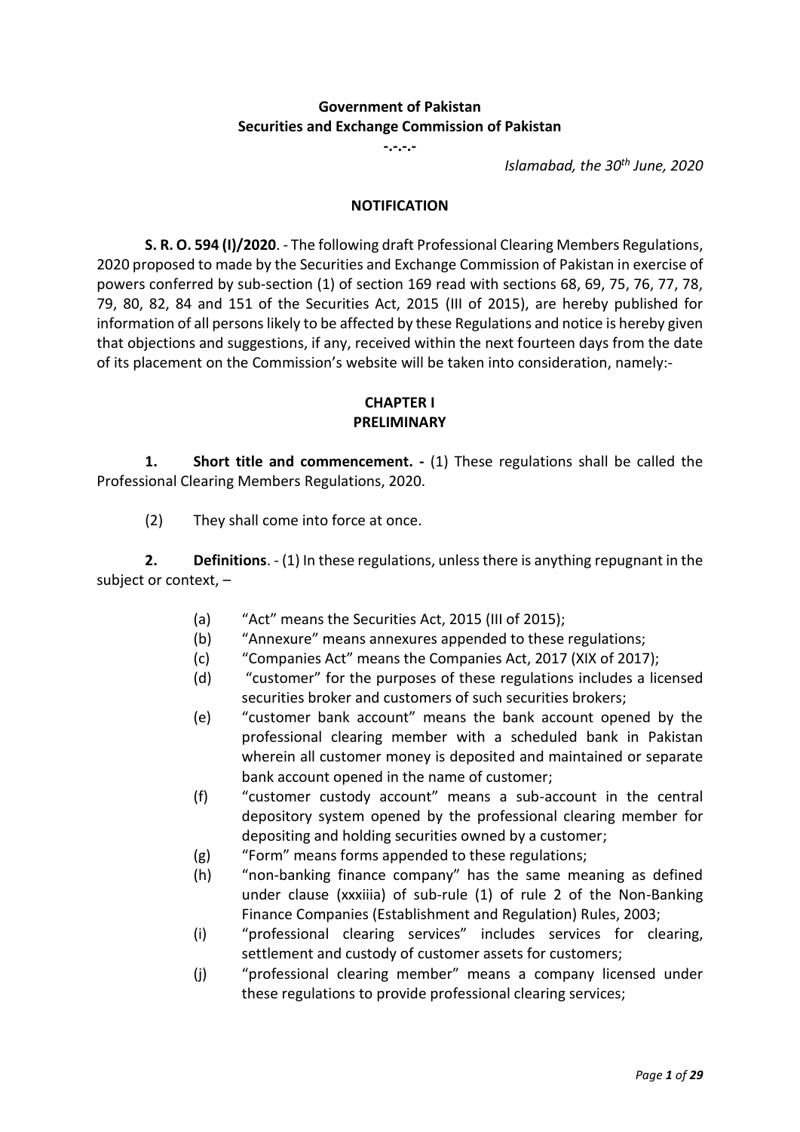# **Government of Pakistan Securities and Exchange Commission of Pakistan**

**-.-.-.-**

*Islamabad, the 30th June, 2020*

#### **NOTIFICATION**

**S. R. O. 594 (I)/2020**. - The following draft Professional Clearing Members Regulations, 2020 proposed to made by the Securities and Exchange Commission of Pakistan in exercise of powers conferred by sub-section (1) of section 169 read with sections 68, 69, 75, 76, 77, 78, 79, 80, 82, 84 and 151 of the Securities Act, 2015 (III of 2015), are hereby published for information of all persons likely to be affected by these Regulations and notice is hereby given that objections and suggestions, if any, received within the next fourteen days from the date of its placement on the Commission's website will be taken into consideration, namely:-

# **CHAPTER I PRELIMINARY**

**1. Short title and commencement. -** (1) These regulations shall be called the Professional Clearing Members Regulations, 2020.

(2) They shall come into force at once.

**2. Definitions**. - (1) In these regulations, unless there is anything repugnant in the subject or context, –

- (a) "Act" means the Securities Act, 2015 (III of 2015);
- (b) "Annexure" means annexures appended to these regulations;
- (c) "Companies Act" means the Companies Act, 2017 (XIX of 2017);
- (d) "customer" for the purposes of these regulations includes a licensed securities broker and customers of such securities brokers;
- (e) "customer bank account" means the bank account opened by the professional clearing member with a scheduled bank in Pakistan wherein all customer money is deposited and maintained or separate bank account opened in the name of customer;
- (f) "customer custody account" means a sub-account in the central depository system opened by the professional clearing member for depositing and holding securities owned by a customer;
- (g) "Form" means forms appended to these regulations;
- (h) "non-banking finance company" has the same meaning as defined under clause (xxxiiia) of sub-rule (1) of rule 2 of the Non-Banking Finance Companies (Establishment and Regulation) Rules, 2003;
- (i) "professional clearing services" includes services for clearing, settlement and custody of customer assets for customers;
- (j) "professional clearing member" means a company licensed under these regulations to provide professional clearing services;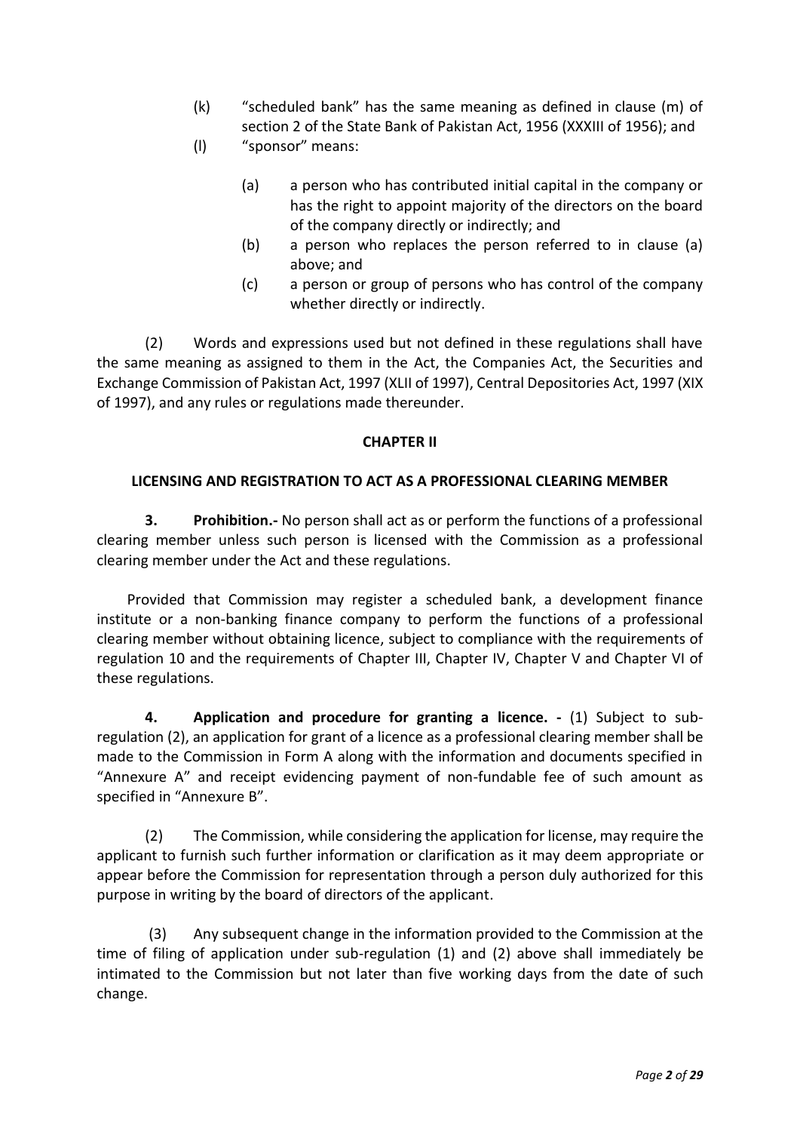- (k) "scheduled bank" has the same meaning as defined in clause (m) of section 2 of the State Bank of Pakistan Act, 1956 (XXXIII of 1956); and
- (l) "sponsor" means:
	- (a) a person who has contributed initial capital in the company or has the right to appoint majority of the directors on the board of the company directly or indirectly; and
	- (b) a person who replaces the person referred to in clause (a) above; and
	- (c) a person or group of persons who has control of the company whether directly or indirectly.

(2) Words and expressions used but not defined in these regulations shall have the same meaning as assigned to them in the Act, the Companies Act, the Securities and Exchange Commission of Pakistan Act, 1997 (XLII of 1997), Central Depositories Act, 1997 (XIX of 1997), and any rules or regulations made thereunder.

# **CHAPTER II**

### **LICENSING AND REGISTRATION TO ACT AS A PROFESSIONAL CLEARING MEMBER**

**3. Prohibition.-** No person shall act as or perform the functions of a professional clearing member unless such person is licensed with the Commission as a professional clearing member under the Act and these regulations.

Provided that Commission may register a scheduled bank, a development finance institute or a non-banking finance company to perform the functions of a professional clearing member without obtaining licence, subject to compliance with the requirements of regulation 10 and the requirements of Chapter III, Chapter IV, Chapter V and Chapter VI of these regulations.

**4. Application and procedure for granting a licence. -** (1) Subject to subregulation (2), an application for grant of a licence as a professional clearing member shall be made to the Commission in Form A along with the information and documents specified in "Annexure A" and receipt evidencing payment of non-fundable fee of such amount as specified in "Annexure B".

(2) The Commission, while considering the application for license, may require the applicant to furnish such further information or clarification as it may deem appropriate or appear before the Commission for representation through a person duly authorized for this purpose in writing by the board of directors of the applicant.

(3) Any subsequent change in the information provided to the Commission at the time of filing of application under sub-regulation (1) and (2) above shall immediately be intimated to the Commission but not later than five working days from the date of such change.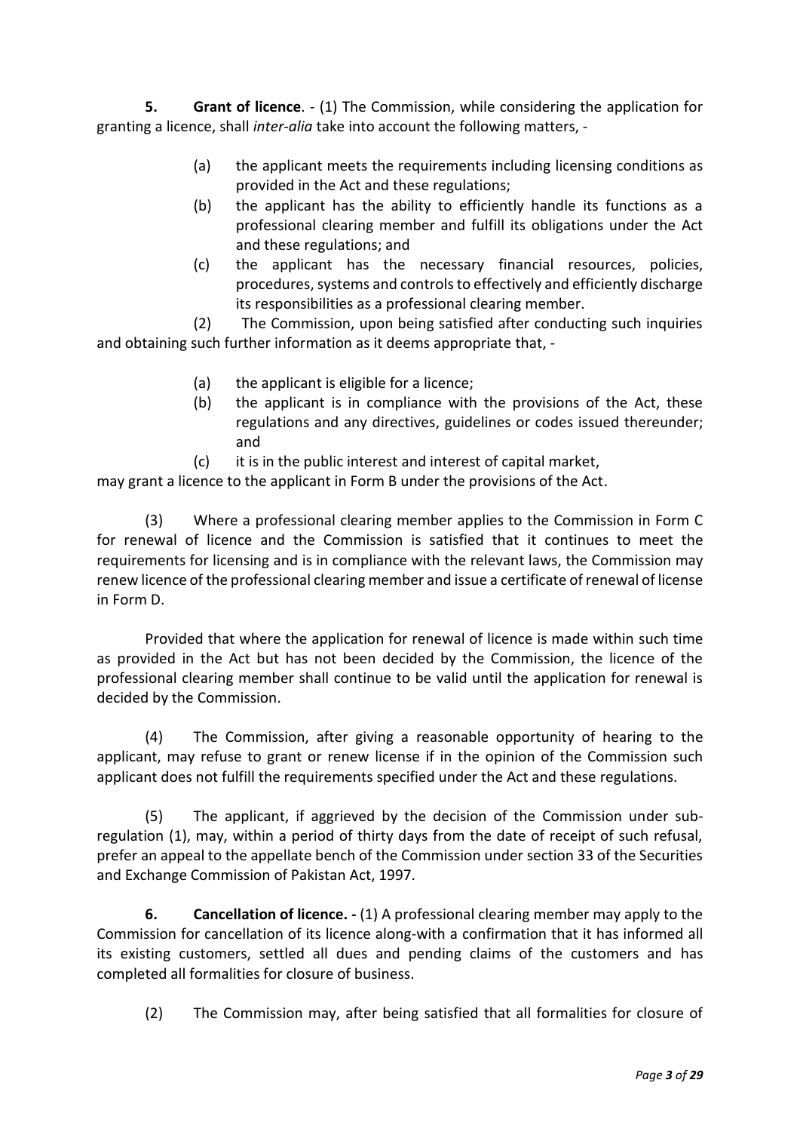**5. Grant of licence**. - (1) The Commission, while considering the application for granting a licence, shall *inter-alia* take into account the following matters, -

- (a) the applicant meets the requirements including licensing conditions as provided in the Act and these regulations;
- (b) the applicant has the ability to efficiently handle its functions as a professional clearing member and fulfill its obligations under the Act and these regulations; and
- (c) the applicant has the necessary financial resources, policies, procedures, systems and controls to effectively and efficiently discharge its responsibilities as a professional clearing member.

(2) The Commission, upon being satisfied after conducting such inquiries and obtaining such further information as it deems appropriate that, -

- (a) the applicant is eligible for a licence;
- (b) the applicant is in compliance with the provisions of the Act, these regulations and any directives, guidelines or codes issued thereunder; and
- (c) it is in the public interest and interest of capital market,

may grant a licence to the applicant in Form B under the provisions of the Act.

(3) Where a professional clearing member applies to the Commission in Form C for renewal of licence and the Commission is satisfied that it continues to meet the requirements for licensing and is in compliance with the relevant laws, the Commission may renew licence of the professional clearing member and issue a certificate of renewal of license in Form D.

Provided that where the application for renewal of licence is made within such time as provided in the Act but has not been decided by the Commission, the licence of the professional clearing member shall continue to be valid until the application for renewal is decided by the Commission.

(4) The Commission, after giving a reasonable opportunity of hearing to the applicant, may refuse to grant or renew license if in the opinion of the Commission such applicant does not fulfill the requirements specified under the Act and these regulations.

(5) The applicant, if aggrieved by the decision of the Commission under subregulation (1), may, within a period of thirty days from the date of receipt of such refusal, prefer an appeal to the appellate bench of the Commission under section 33 of the Securities and Exchange Commission of Pakistan Act, 1997.

**6. Cancellation of licence. -** (1) A professional clearing member may apply to the Commission for cancellation of its licence along-with a confirmation that it has informed all its existing customers, settled all dues and pending claims of the customers and has completed all formalities for closure of business.

(2) The Commission may, after being satisfied that all formalities for closure of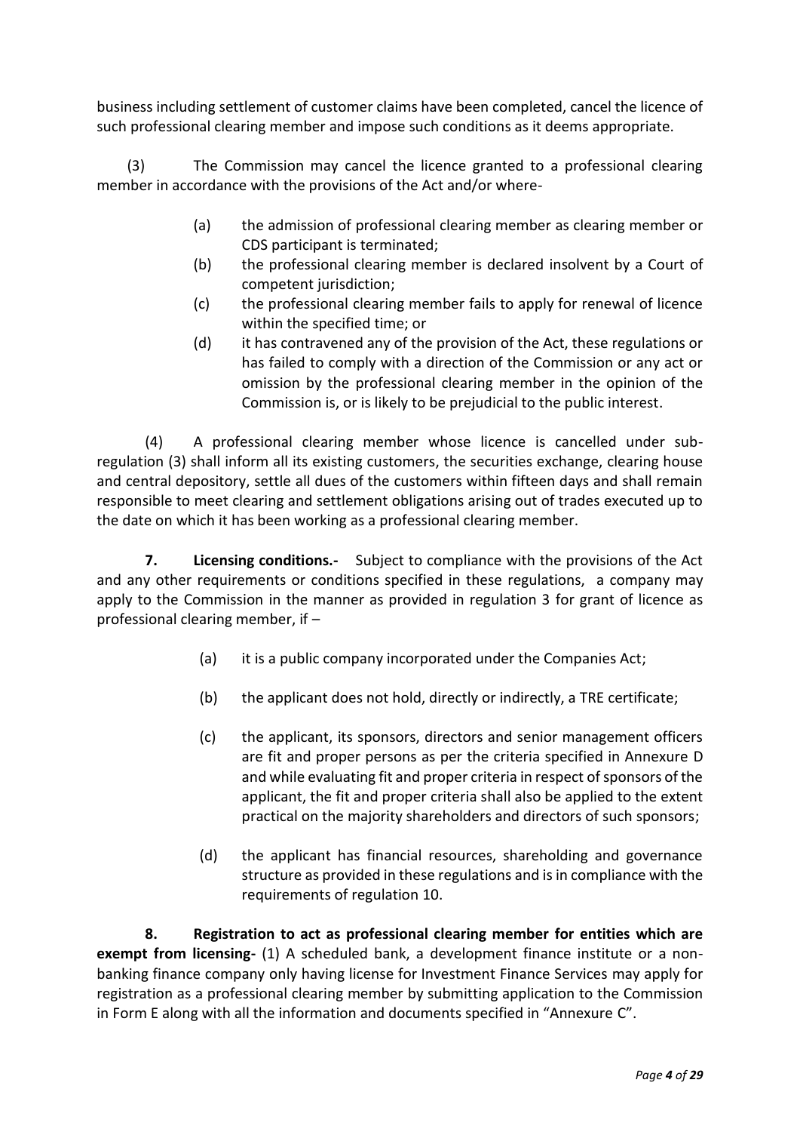business including settlement of customer claims have been completed, cancel the licence of such professional clearing member and impose such conditions as it deems appropriate.

(3) The Commission may cancel the licence granted to a professional clearing member in accordance with the provisions of the Act and/or where-

- (a) the admission of professional clearing member as clearing member or CDS participant is terminated;
- (b) the professional clearing member is declared insolvent by a Court of competent jurisdiction;
- (c) the professional clearing member fails to apply for renewal of licence within the specified time; or
- (d) it has contravened any of the provision of the Act, these regulations or has failed to comply with a direction of the Commission or any act or omission by the professional clearing member in the opinion of the Commission is, or is likely to be prejudicial to the public interest.

(4) A professional clearing member whose licence is cancelled under subregulation (3) shall inform all its existing customers, the securities exchange, clearing house and central depository, settle all dues of the customers within fifteen days and shall remain responsible to meet clearing and settlement obligations arising out of trades executed up to the date on which it has been working as a professional clearing member.

**7. Licensing conditions.-** Subject to compliance with the provisions of the Act and any other requirements or conditions specified in these regulations,a company may apply to the Commission in the manner as provided in regulation 3 for grant of licence as professional clearing member, if –

- (a) it is a public company incorporated under the Companies Act;
- (b) the applicant does not hold, directly or indirectly, a TRE certificate;
- (c) the applicant, its sponsors, directors and senior management officers are fit and proper persons as per the criteria specified in Annexure D and while evaluating fit and proper criteria in respect of sponsors of the applicant, the fit and proper criteria shall also be applied to the extent practical on the majority shareholders and directors of such sponsors;
- (d) the applicant has financial resources, shareholding and governance structure as provided in these regulations and is in compliance with the requirements of regulation 10.

**8. Registration to act as professional clearing member for entities which are exempt from licensing-** (1) A scheduled bank, a development finance institute or a nonbanking finance company only having license for Investment Finance Services may apply for registration as a professional clearing member by submitting application to the Commission in Form E along with all the information and documents specified in "Annexure C".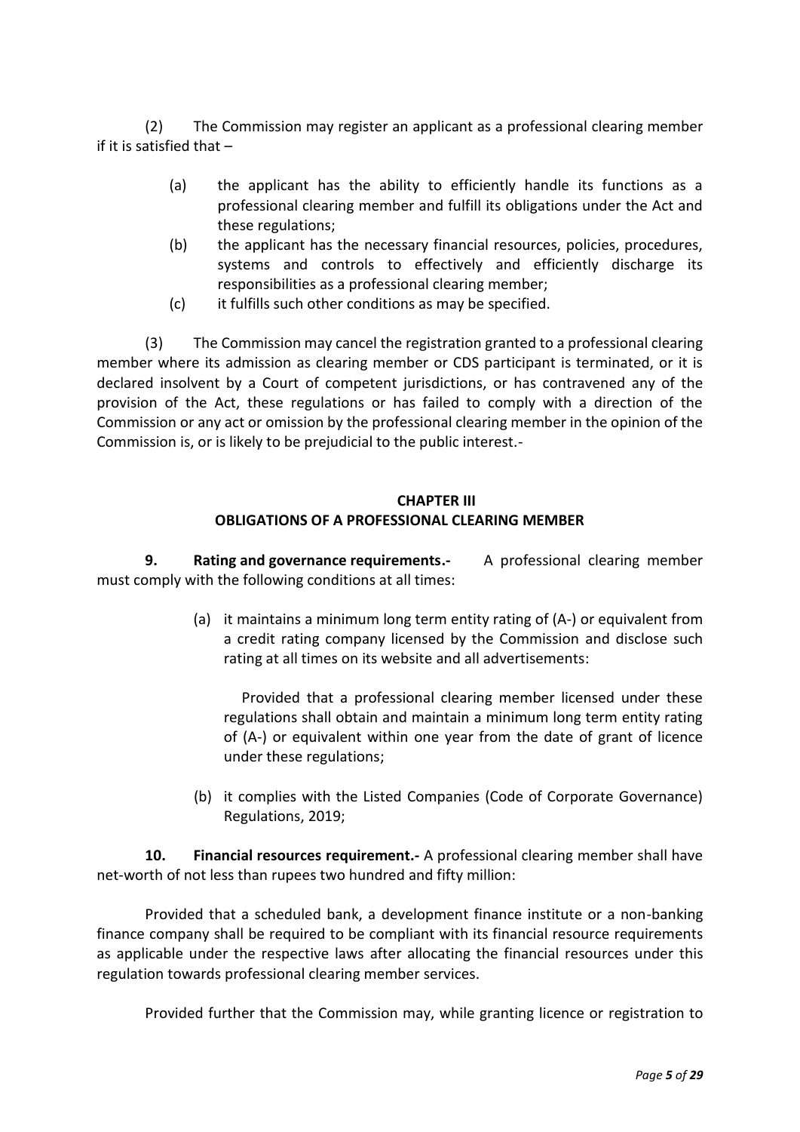(2) The Commission may register an applicant as a professional clearing member if it is satisfied that –

- (a) the applicant has the ability to efficiently handle its functions as a professional clearing member and fulfill its obligations under the Act and these regulations;
- (b) the applicant has the necessary financial resources, policies, procedures, systems and controls to effectively and efficiently discharge its responsibilities as a professional clearing member;
- (c) it fulfills such other conditions as may be specified.

(3) The Commission may cancel the registration granted to a professional clearing member where its admission as clearing member or CDS participant is terminated, or it is declared insolvent by a Court of competent jurisdictions, or has contravened any of the provision of the Act, these regulations or has failed to comply with a direction of the Commission or any act or omission by the professional clearing member in the opinion of the Commission is, or is likely to be prejudicial to the public interest.-

### **CHAPTER III OBLIGATIONS OF A PROFESSIONAL CLEARING MEMBER**

**9. Rating and governance requirements.-** A professional clearing member must comply with the following conditions at all times:

> (a) it maintains a minimum long term entity rating of (A-) or equivalent from a credit rating company licensed by the Commission and disclose such rating at all times on its website and all advertisements:

Provided that a professional clearing member licensed under these regulations shall obtain and maintain a minimum long term entity rating of (A-) or equivalent within one year from the date of grant of licence under these regulations;

(b) it complies with the Listed Companies (Code of Corporate Governance) Regulations, 2019;

**10. Financial resources requirement.-** A professional clearing member shall have net-worth of not less than rupees two hundred and fifty million:

Provided that a scheduled bank, a development finance institute or a non-banking finance company shall be required to be compliant with its financial resource requirements as applicable under the respective laws after allocating the financial resources under this regulation towards professional clearing member services.

Provided further that the Commission may, while granting licence or registration to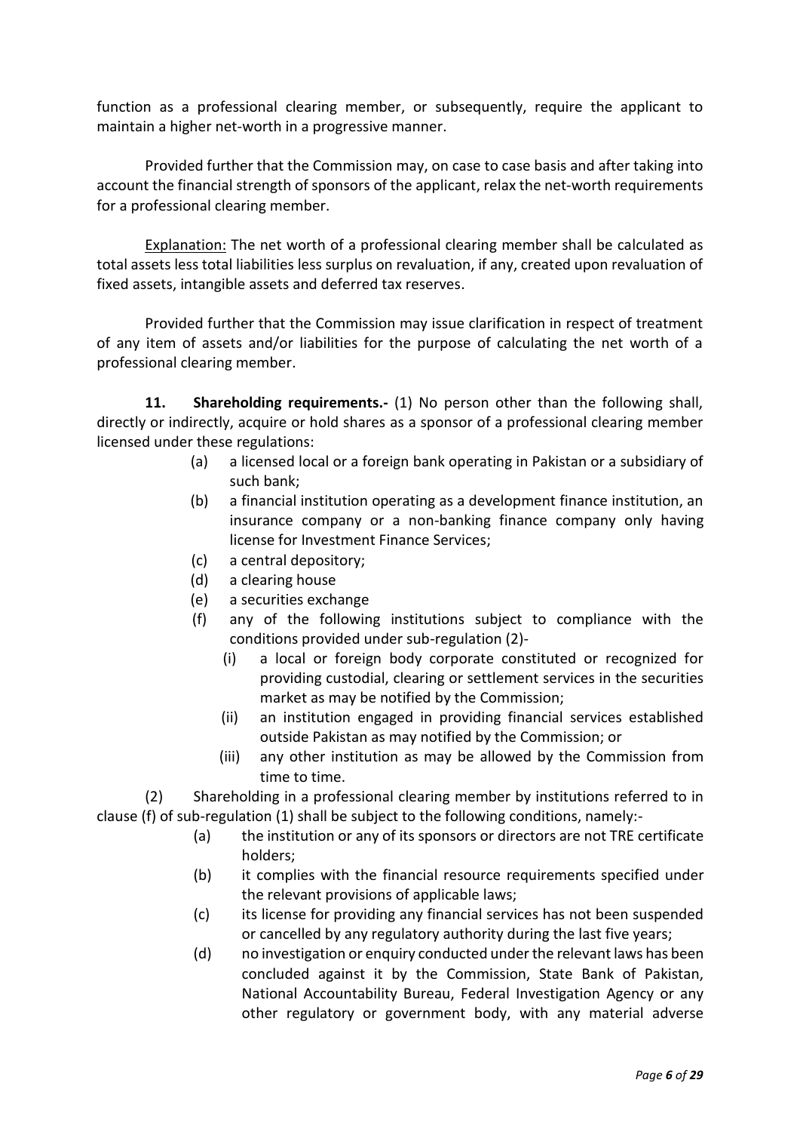function as a professional clearing member, or subsequently, require the applicant to maintain a higher net-worth in a progressive manner.

Provided further that the Commission may, on case to case basis and after taking into account the financial strength of sponsors of the applicant, relax the net-worth requirements for a professional clearing member.

Explanation: The net worth of a professional clearing member shall be calculated as total assets less total liabilities less surplus on revaluation, if any, created upon revaluation of fixed assets, intangible assets and deferred tax reserves.

Provided further that the Commission may issue clarification in respect of treatment of any item of assets and/or liabilities for the purpose of calculating the net worth of a professional clearing member.

**11. Shareholding requirements.-** (1) No person other than the following shall, directly or indirectly, acquire or hold shares as a sponsor of a professional clearing member licensed under these regulations:

- (a) a licensed local or a foreign bank operating in Pakistan or a subsidiary of such bank;
- (b) a financial institution operating as a development finance institution, an insurance company or a non-banking finance company only having license for Investment Finance Services;
- (c) a central depository;
- (d) a clearing house
- (e) a securities exchange
- (f) any of the following institutions subject to compliance with the conditions provided under sub-regulation (2)-
	- (i) a local or foreign body corporate constituted or recognized for providing custodial, clearing or settlement services in the securities market as may be notified by the Commission;
	- (ii) an institution engaged in providing financial services established outside Pakistan as may notified by the Commission; or
	- (iii) any other institution as may be allowed by the Commission from time to time.

(2) Shareholding in a professional clearing member by institutions referred to in clause (f) of sub-regulation (1) shall be subject to the following conditions, namely:-

- (a) the institution or any of its sponsors or directors are not TRE certificate holders;
- (b) it complies with the financial resource requirements specified under the relevant provisions of applicable laws;
- (c) its license for providing any financial services has not been suspended or cancelled by any regulatory authority during the last five years;
- (d) no investigation or enquiry conducted under the relevant laws has been concluded against it by the Commission, State Bank of Pakistan, National Accountability Bureau, Federal Investigation Agency or any other regulatory or government body, with any material adverse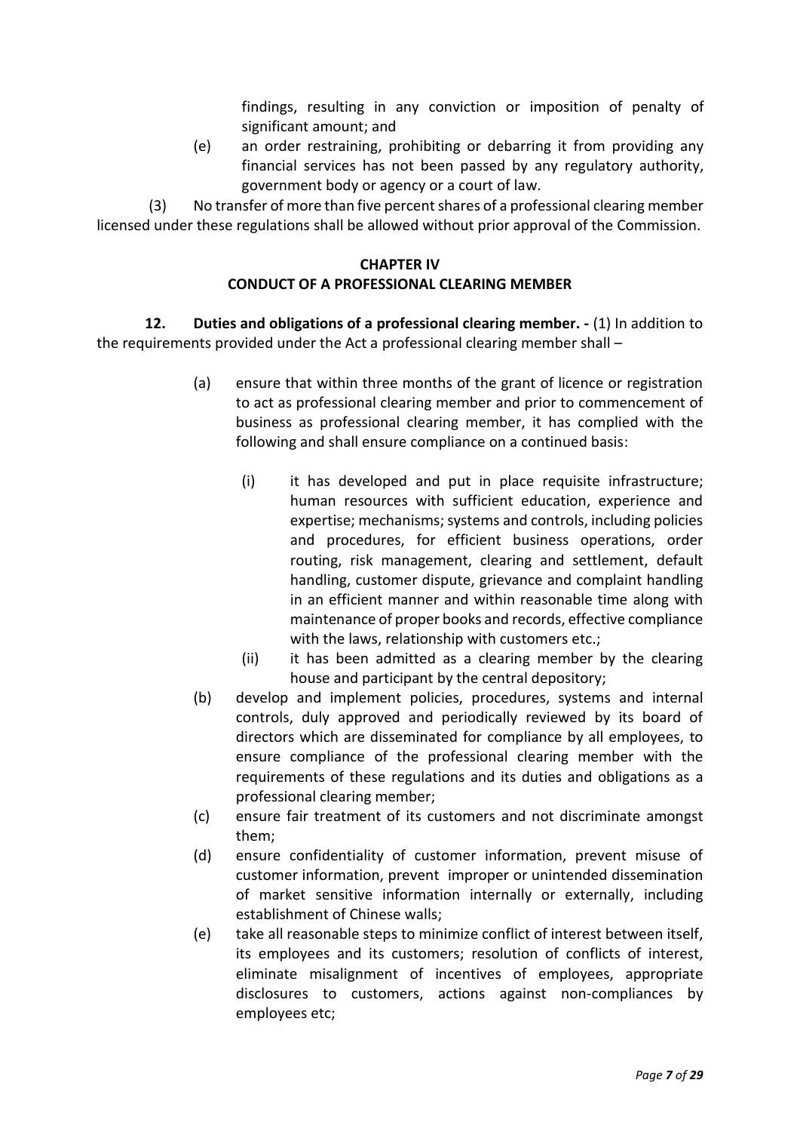findings, resulting in any conviction or imposition of penalty of significant amount; and

(e) an order restraining, prohibiting or debarring it from providing any financial services has not been passed by any regulatory authority, government body or agency or a court of law.

(3) No transfer of more than five percent shares of a professional clearing member licensed under these regulations shall be allowed without prior approval of the Commission.

## **CHAPTER IV CONDUCT OF A PROFESSIONAL CLEARING MEMBER**

**12. Duties and obligations of a professional clearing member. -** (1) In addition to the requirements provided under the Act a professional clearing member shall –

- (a) ensure that within three months of the grant of licence or registration to act as professional clearing member and prior to commencement of business as professional clearing member, it has complied with the following and shall ensure compliance on a continued basis:
	- (i) it has developed and put in place requisite infrastructure; human resources with sufficient education, experience and expertise; mechanisms; systems and controls, including policies and procedures, for efficient business operations, order routing, risk management, clearing and settlement, default handling, customer dispute, grievance and complaint handling in an efficient manner and within reasonable time along with maintenance of proper books and records, effective compliance with the laws, relationship with customers etc.;
	- (ii) it has been admitted as a clearing member by the clearing house and participant by the central depository;
- (b) develop and implement policies, procedures, systems and internal controls, duly approved and periodically reviewed by its board of directors which are disseminated for compliance by all employees, to ensure compliance of the professional clearing member with the requirements of these regulations and its duties and obligations as a professional clearing member;
- (c) ensure fair treatment of its customers and not discriminate amongst them;
- (d) ensure confidentiality of customer information, prevent misuse of customer information, prevent improper or unintended dissemination of market sensitive information internally or externally, including establishment of Chinese walls;
- (e) take all reasonable steps to minimize conflict of interest between itself, its employees and its customers; resolution of conflicts of interest, eliminate misalignment of incentives of employees, appropriate disclosures to customers, actions against non-compliances by employees etc;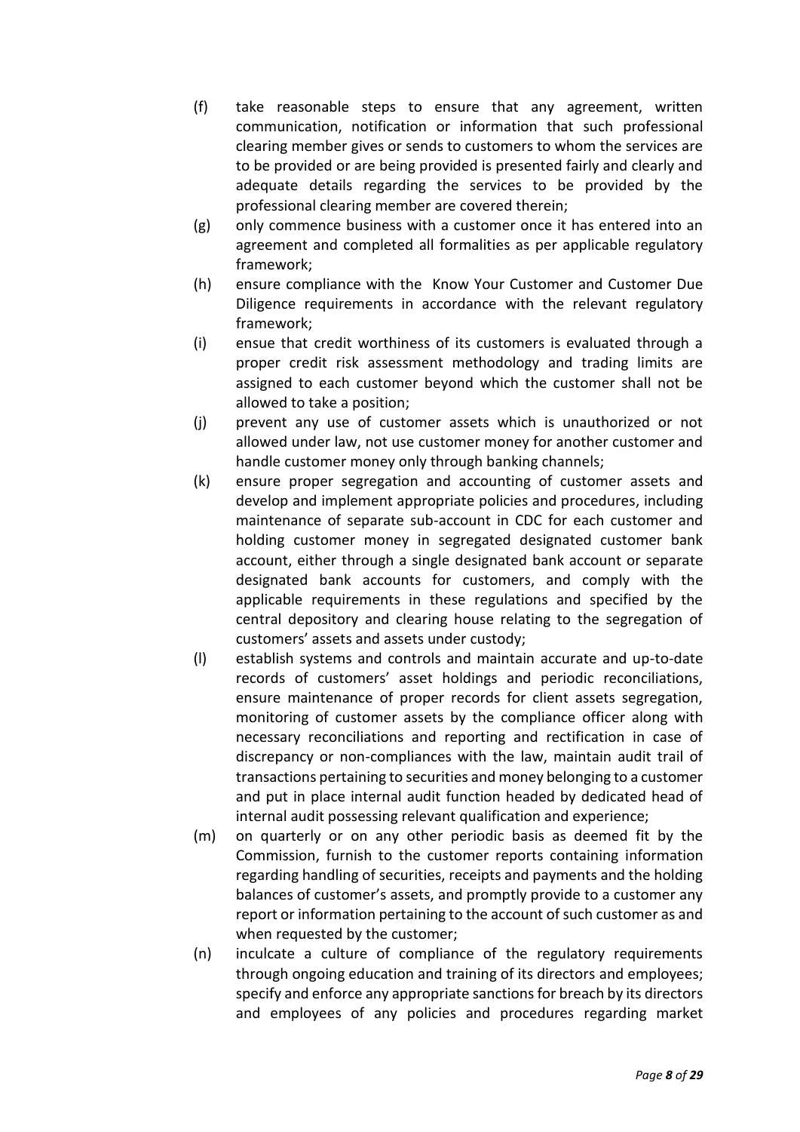- (f) take reasonable steps to ensure that any agreement, written communication, notification or information that such professional clearing member gives or sends to customers to whom the services are to be provided or are being provided is presented fairly and clearly and adequate details regarding the services to be provided by the professional clearing member are covered therein;
- (g) only commence business with a customer once it has entered into an agreement and completed all formalities as per applicable regulatory framework;
- (h) ensure compliance with the Know Your Customer and Customer Due Diligence requirements in accordance with the relevant regulatory framework;
- (i) ensue that credit worthiness of its customers is evaluated through a proper credit risk assessment methodology and trading limits are assigned to each customer beyond which the customer shall not be allowed to take a position;
- (j) prevent any use of customer assets which is unauthorized or not allowed under law, not use customer money for another customer and handle customer money only through banking channels;
- (k) ensure proper segregation and accounting of customer assets and develop and implement appropriate policies and procedures, including maintenance of separate sub-account in CDC for each customer and holding customer money in segregated designated customer bank account, either through a single designated bank account or separate designated bank accounts for customers, and comply with the applicable requirements in these regulations and specified by the central depository and clearing house relating to the segregation of customers' assets and assets under custody;
- (l) establish systems and controls and maintain accurate and up-to-date records of customers' asset holdings and periodic reconciliations, ensure maintenance of proper records for client assets segregation, monitoring of customer assets by the compliance officer along with necessary reconciliations and reporting and rectification in case of discrepancy or non-compliances with the law, maintain audit trail of transactions pertaining to securities and money belonging to a customer and put in place internal audit function headed by dedicated head of internal audit possessing relevant qualification and experience;
- (m) on quarterly or on any other periodic basis as deemed fit by the Commission, furnish to the customer reports containing information regarding handling of securities, receipts and payments and the holding balances of customer's assets, and promptly provide to a customer any report or information pertaining to the account of such customer as and when requested by the customer;
- (n) inculcate a culture of compliance of the regulatory requirements through ongoing education and training of its directors and employees; specify and enforce any appropriate sanctions for breach by its directors and employees of any policies and procedures regarding market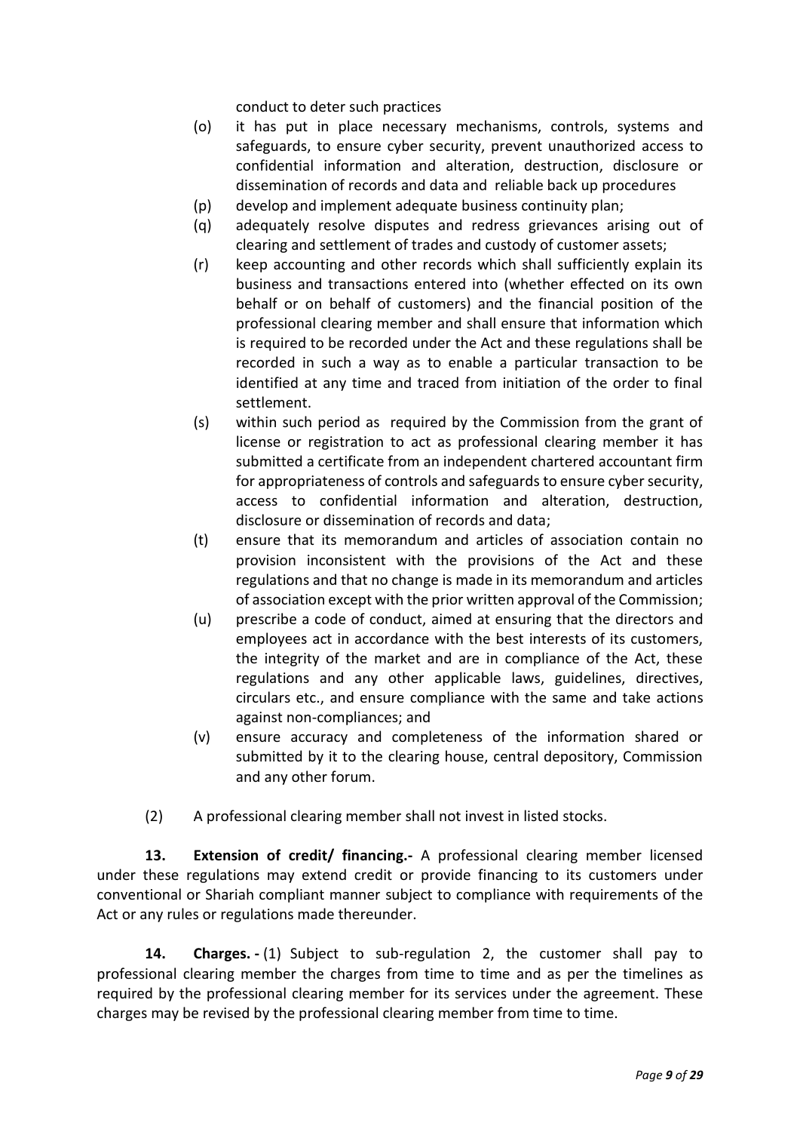conduct to deter such practices

- (o) it has put in place necessary mechanisms, controls, systems and safeguards, to ensure cyber security, prevent unauthorized access to confidential information and alteration, destruction, disclosure or dissemination of records and data and reliable back up procedures
- (p) develop and implement adequate business continuity plan;
- (q) adequately resolve disputes and redress grievances arising out of clearing and settlement of trades and custody of customer assets;
- (r) keep accounting and other records which shall sufficiently explain its business and transactions entered into (whether effected on its own behalf or on behalf of customers) and the financial position of the professional clearing member and shall ensure that information which is required to be recorded under the Act and these regulations shall be recorded in such a way as to enable a particular transaction to be identified at any time and traced from initiation of the order to final settlement.
- (s) within such period as required by the Commission from the grant of license or registration to act as professional clearing member it has submitted a certificate from an independent chartered accountant firm for appropriateness of controls and safeguards to ensure cyber security, access to confidential information and alteration, destruction, disclosure or dissemination of records and data;
- (t) ensure that its memorandum and articles of association contain no provision inconsistent with the provisions of the Act and these regulations and that no change is made in its memorandum and articles of association except with the prior written approval of the Commission;
- (u) prescribe a code of conduct, aimed at ensuring that the directors and employees act in accordance with the best interests of its customers, the integrity of the market and are in compliance of the Act, these regulations and any other applicable laws, guidelines, directives, circulars etc., and ensure compliance with the same and take actions against non-compliances; and
- (v) ensure accuracy and completeness of the information shared or submitted by it to the clearing house, central depository, Commission and any other forum.
- (2) A professional clearing member shall not invest in listed stocks.

**13. Extension of credit/ financing.-** A professional clearing member licensed under these regulations may extend credit or provide financing to its customers under conventional or Shariah compliant manner subject to compliance with requirements of the Act or any rules or regulations made thereunder.

**14. Charges. -** (1) Subject to sub-regulation 2, the customer shall pay to professional clearing member the charges from time to time and as per the timelines as required by the professional clearing member for its services under the agreement. These charges may be revised by the professional clearing member from time to time.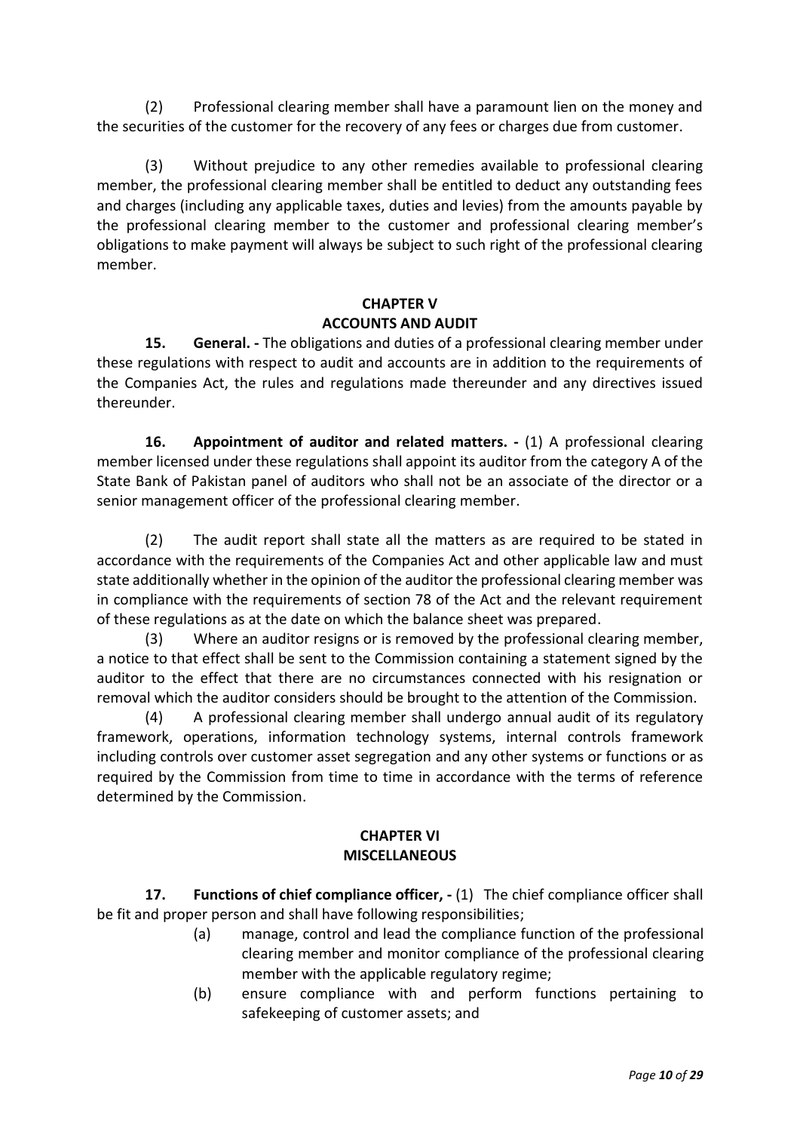(2) Professional clearing member shall have a paramount lien on the money and the securities of the customer for the recovery of any fees or charges due from customer.

(3) Without prejudice to any other remedies available to professional clearing member, the professional clearing member shall be entitled to deduct any outstanding fees and charges (including any applicable taxes, duties and levies) from the amounts payable by the professional clearing member to the customer and professional clearing member's obligations to make payment will always be subject to such right of the professional clearing member.

### **CHAPTER V ACCOUNTS AND AUDIT**

**15. General. -** The obligations and duties of a professional clearing member under these regulations with respect to audit and accounts are in addition to the requirements of the Companies Act, the rules and regulations made thereunder and any directives issued thereunder.

**16. Appointment of auditor and related matters. -** (1) A professional clearing member licensed under these regulations shall appoint its auditor from the category A of the State Bank of Pakistan panel of auditors who shall not be an associate of the director or a senior management officer of the professional clearing member.

(2) The audit report shall state all the matters as are required to be stated in accordance with the requirements of the Companies Act and other applicable law and must state additionally whether in the opinion of the auditor the professional clearing member was in compliance with the requirements of section 78 of the Act and the relevant requirement of these regulations as at the date on which the balance sheet was prepared.

(3) Where an auditor resigns or is removed by the professional clearing member, a notice to that effect shall be sent to the Commission containing a statement signed by the auditor to the effect that there are no circumstances connected with his resignation or removal which the auditor considers should be brought to the attention of the Commission.

(4) A professional clearing member shall undergo annual audit of its regulatory framework, operations, information technology systems, internal controls framework including controls over customer asset segregation and any other systems or functions or as required by the Commission from time to time in accordance with the terms of reference determined by the Commission.

### **CHAPTER VI MISCELLANEOUS**

**17. Functions of chief compliance officer, -** (1) The chief compliance officer shall be fit and proper person and shall have following responsibilities;

- (a) manage, control and lead the compliance function of the professional clearing member and monitor compliance of the professional clearing member with the applicable regulatory regime;
- (b) ensure compliance with and perform functions pertaining to safekeeping of customer assets; and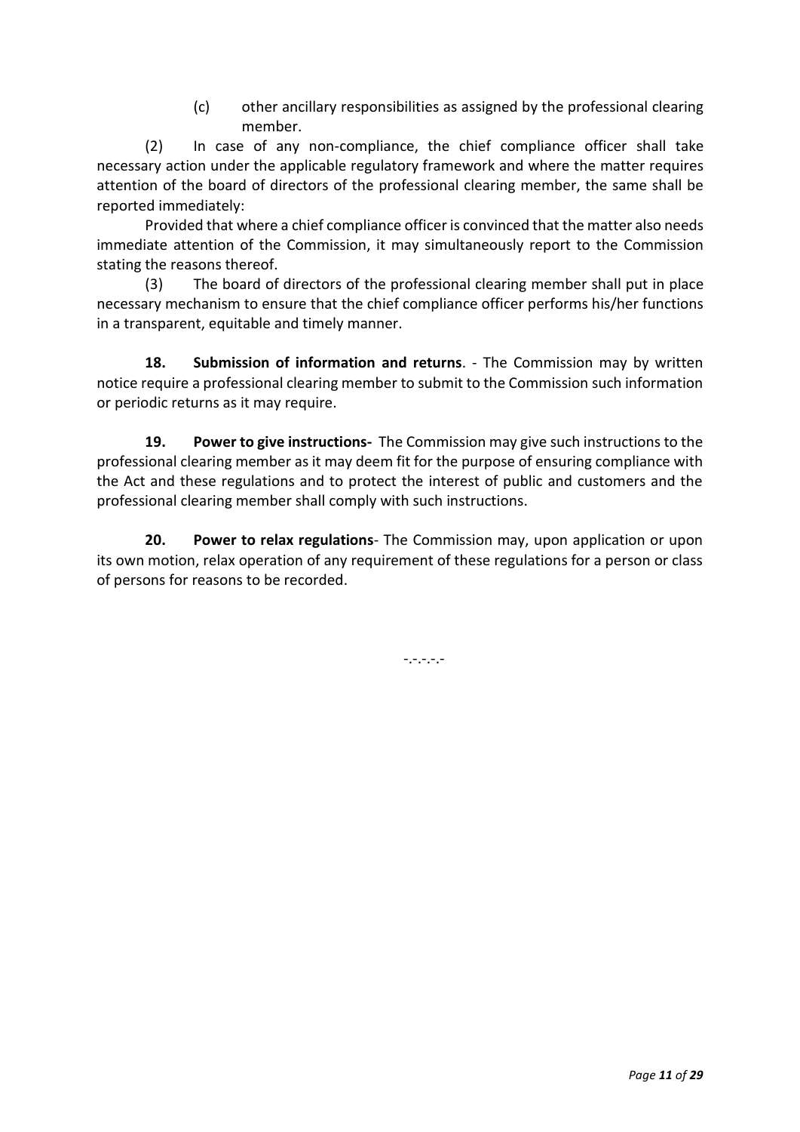(c) other ancillary responsibilities as assigned by the professional clearing member.

(2) In case of any non-compliance, the chief compliance officer shall take necessary action under the applicable regulatory framework and where the matter requires attention of the board of directors of the professional clearing member, the same shall be reported immediately:

Provided that where a chief compliance officer is convinced that the matter also needs immediate attention of the Commission, it may simultaneously report to the Commission stating the reasons thereof.

(3) The board of directors of the professional clearing member shall put in place necessary mechanism to ensure that the chief compliance officer performs his/her functions in a transparent, equitable and timely manner.

**18. Submission of information and returns**. - The Commission may by written notice require a professional clearing member to submit to the Commission such information or periodic returns as it may require.

**19. Power to give instructions-** The Commission may give such instructions to the professional clearing member as it may deem fit for the purpose of ensuring compliance with the Act and these regulations and to protect the interest of public and customers and the professional clearing member shall comply with such instructions.

**20. Power to relax regulations**- The Commission may, upon application or upon its own motion, relax operation of any requirement of these regulations for a person or class of persons for reasons to be recorded.

-.-.-.-.-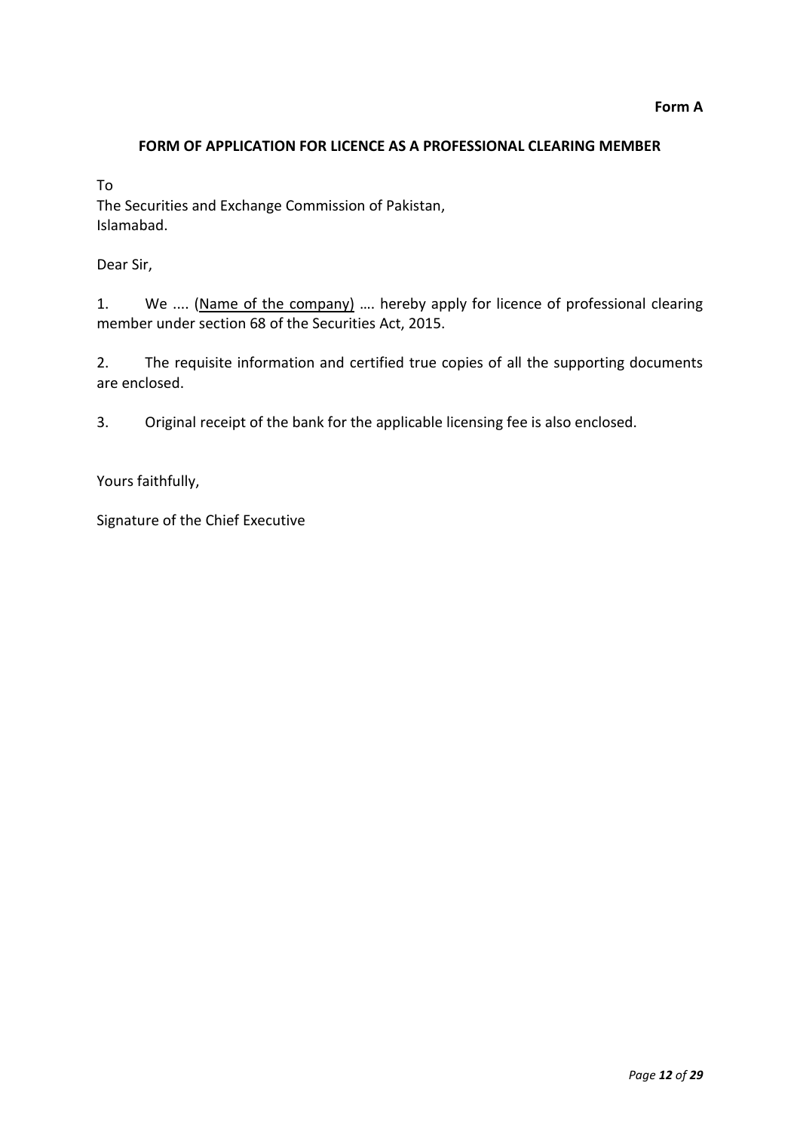### **FORM OF APPLICATION FOR LICENCE AS A PROFESSIONAL CLEARING MEMBER**

To

The Securities and Exchange Commission of Pakistan, Islamabad.

Dear Sir,

1. We .... (Name of the company) …. hereby apply for licence of professional clearing member under section 68 of the Securities Act, 2015.

2. The requisite information and certified true copies of all the supporting documents are enclosed.

3. Original receipt of the bank for the applicable licensing fee is also enclosed.

Yours faithfully,

Signature of the Chief Executive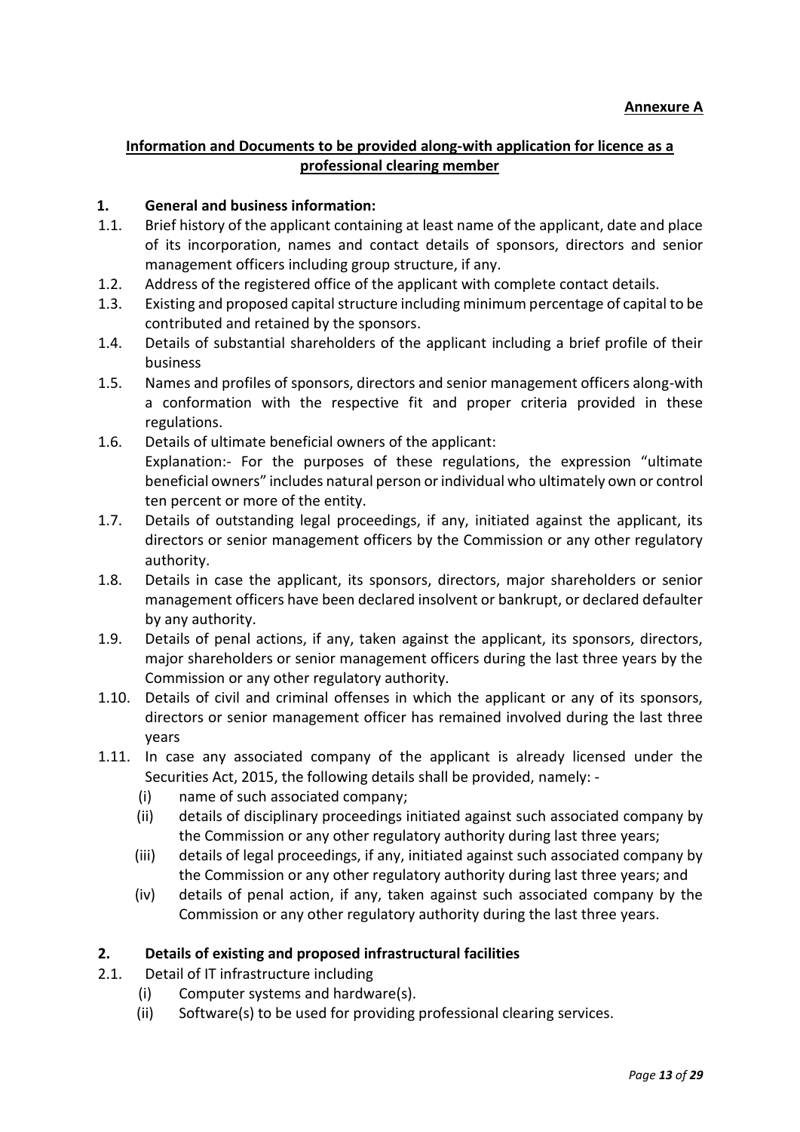# **Information and Documents to be provided along-with application for licence as a professional clearing member**

### **1. General and business information:**

- 1.1. Brief history of the applicant containing at least name of the applicant, date and place of its incorporation, names and contact details of sponsors, directors and senior management officers including group structure, if any.
- 1.2. Address of the registered office of the applicant with complete contact details.
- 1.3. Existing and proposed capital structure including minimum percentage of capital to be contributed and retained by the sponsors.
- 1.4. Details of substantial shareholders of the applicant including a brief profile of their business
- 1.5. Names and profiles of sponsors, directors and senior management officers along-with a conformation with the respective fit and proper criteria provided in these regulations.
- 1.6. Details of ultimate beneficial owners of the applicant: Explanation:- For the purposes of these regulations, the expression "ultimate beneficial owners" includes natural person or individual who ultimately own or control ten percent or more of the entity.
- 1.7. Details of outstanding legal proceedings, if any, initiated against the applicant, its directors or senior management officers by the Commission or any other regulatory authority.
- 1.8. Details in case the applicant, its sponsors, directors, major shareholders or senior management officers have been declared insolvent or bankrupt, or declared defaulter by any authority.
- 1.9. Details of penal actions, if any, taken against the applicant, its sponsors, directors, major shareholders or senior management officers during the last three years by the Commission or any other regulatory authority.
- 1.10. Details of civil and criminal offenses in which the applicant or any of its sponsors, directors or senior management officer has remained involved during the last three years
- 1.11. In case any associated company of the applicant is already licensed under the Securities Act, 2015, the following details shall be provided, namely: -
	- (i) name of such associated company;
	- (ii) details of disciplinary proceedings initiated against such associated company by the Commission or any other regulatory authority during last three years;
	- (iii) details of legal proceedings, if any, initiated against such associated company by the Commission or any other regulatory authority during last three years; and
	- (iv) details of penal action, if any, taken against such associated company by the Commission or any other regulatory authority during the last three years.

# **2. Details of existing and proposed infrastructural facilities**

- 2.1. Detail of IT infrastructure including
	- (i) Computer systems and hardware(s).
	- (ii) Software(s) to be used for providing professional clearing services.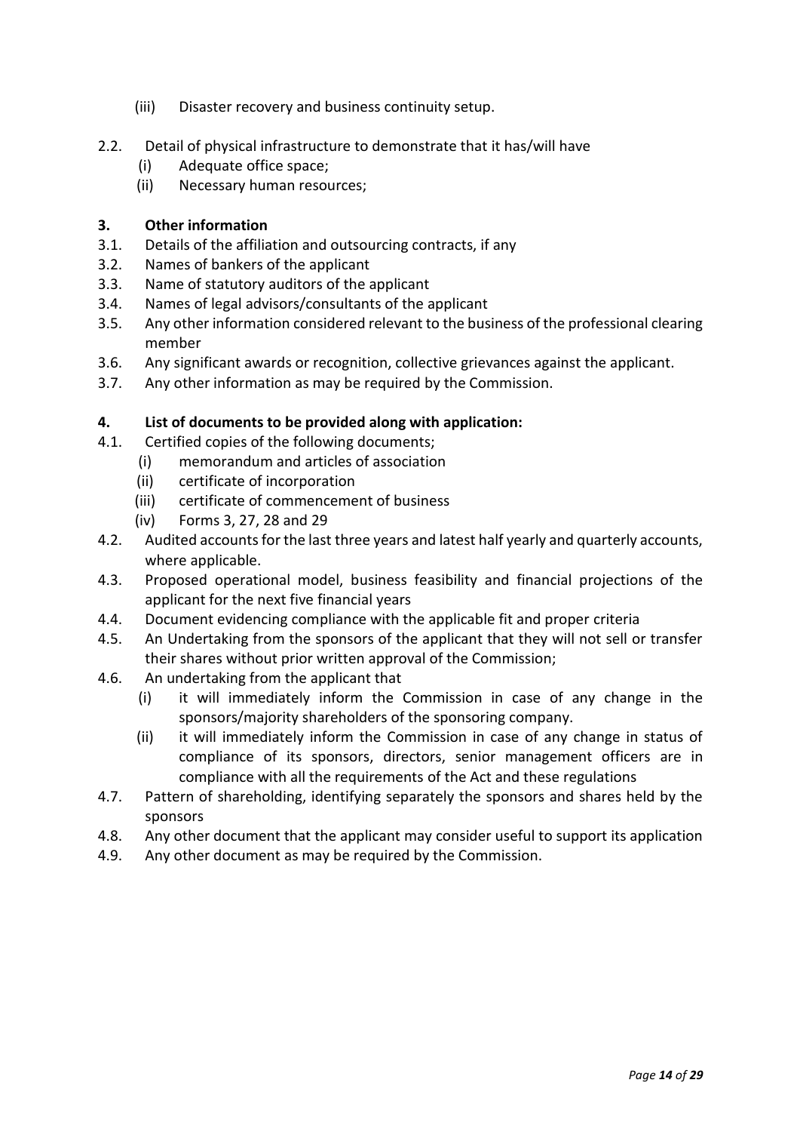- (iii) Disaster recovery and business continuity setup.
- 2.2. Detail of physical infrastructure to demonstrate that it has/will have
	- (i) Adequate office space;
	- (ii) Necessary human resources;

### **3. Other information**

- 3.1. Details of the affiliation and outsourcing contracts, if any
- 3.2. Names of bankers of the applicant
- 3.3. Name of statutory auditors of the applicant
- 3.4. Names of legal advisors/consultants of the applicant
- 3.5. Any other information considered relevant to the business of the professional clearing member
- 3.6. Any significant awards or recognition, collective grievances against the applicant.
- 3.7. Any other information as may be required by the Commission.

### **4. List of documents to be provided along with application:**

- 4.1. Certified copies of the following documents;
	- (i) memorandum and articles of association
	- (ii) certificate of incorporation
	- (iii) certificate of commencement of business
	- (iv) Forms 3, 27, 28 and 29
- 4.2. Audited accounts for the last three years and latest half yearly and quarterly accounts, where applicable.
- 4.3. Proposed operational model, business feasibility and financial projections of the applicant for the next five financial years
- 4.4. Document evidencing compliance with the applicable fit and proper criteria
- 4.5. An Undertaking from the sponsors of the applicant that they will not sell or transfer their shares without prior written approval of the Commission;
- 4.6. An undertaking from the applicant that
	- (i) it will immediately inform the Commission in case of any change in the sponsors/majority shareholders of the sponsoring company.
	- (ii) it will immediately inform the Commission in case of any change in status of compliance of its sponsors, directors, senior management officers are in compliance with all the requirements of the Act and these regulations
- 4.7. Pattern of shareholding, identifying separately the sponsors and shares held by the sponsors
- 4.8. Any other document that the applicant may consider useful to support its application
- 4.9. Any other document as may be required by the Commission.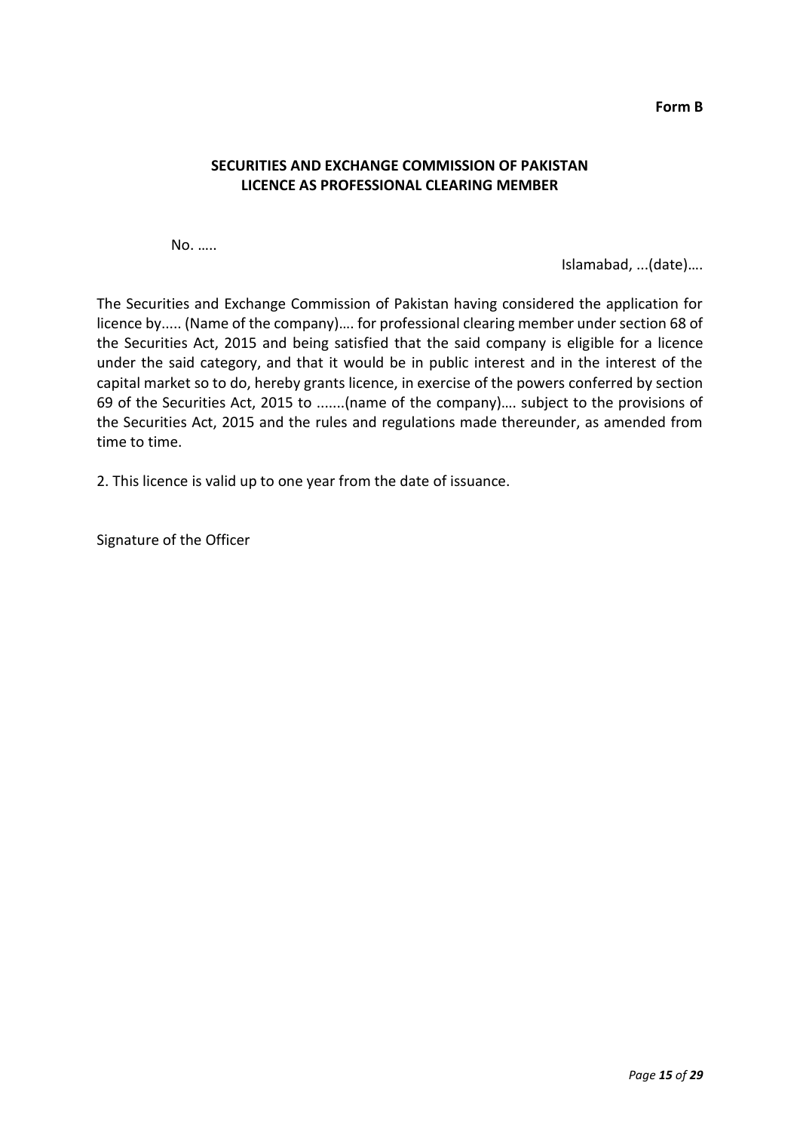**Form B**

### **SECURITIES AND EXCHANGE COMMISSION OF PAKISTAN LICENCE AS PROFESSIONAL CLEARING MEMBER**

No. …..

Islamabad, ...(date)….

The Securities and Exchange Commission of Pakistan having considered the application for licence by..... (Name of the company)…. for professional clearing member under section 68 of the Securities Act, 2015 and being satisfied that the said company is eligible for a licence under the said category, and that it would be in public interest and in the interest of the capital market so to do, hereby grants licence, in exercise of the powers conferred by section 69 of the Securities Act, 2015 to .......(name of the company)…. subject to the provisions of the Securities Act, 2015 and the rules and regulations made thereunder, as amended from time to time.

2. This licence is valid up to one year from the date of issuance.

Signature of the Officer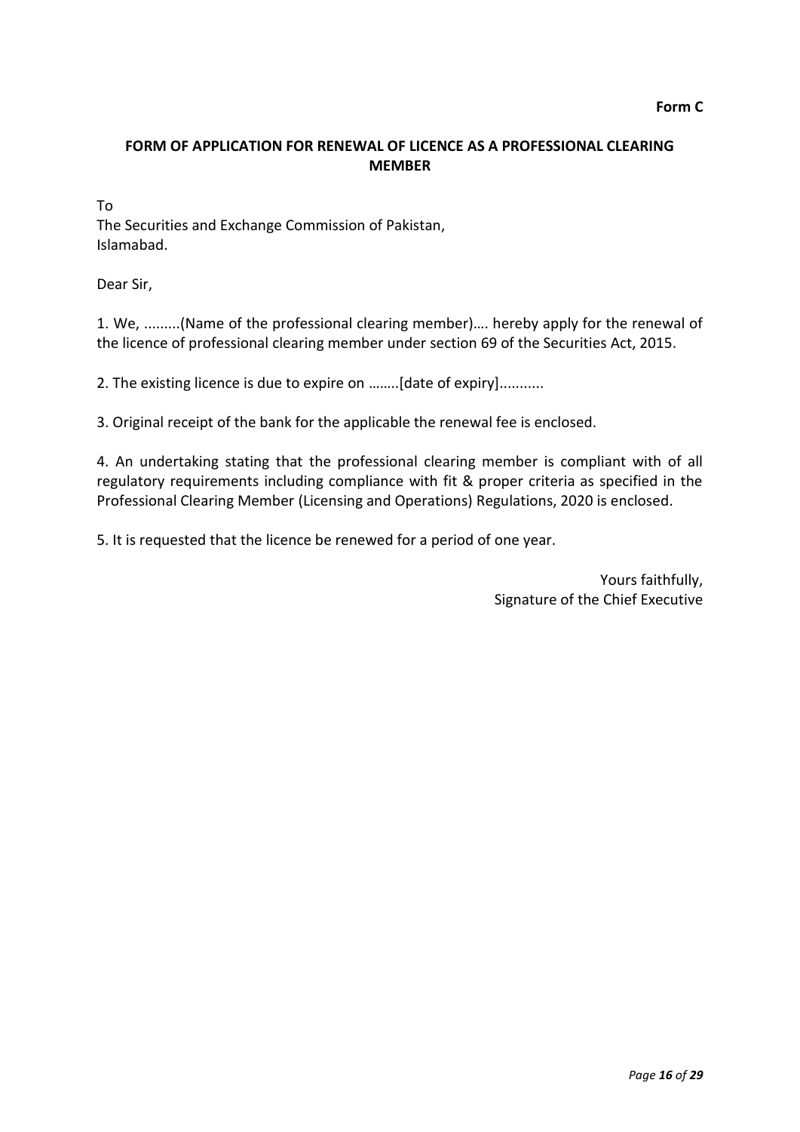## **FORM OF APPLICATION FOR RENEWAL OF LICENCE AS A PROFESSIONAL CLEARING MEMBER**

To

The Securities and Exchange Commission of Pakistan, Islamabad.

Dear Sir,

1. We, .........(Name of the professional clearing member)…. hereby apply for the renewal of the licence of professional clearing member under section 69 of the Securities Act, 2015.

2. The existing licence is due to expire on ……..[date of expiry]...........

3. Original receipt of the bank for the applicable the renewal fee is enclosed.

4. An undertaking stating that the professional clearing member is compliant with of all regulatory requirements including compliance with fit & proper criteria as specified in the Professional Clearing Member (Licensing and Operations) Regulations, 2020 is enclosed.

5. It is requested that the licence be renewed for a period of one year.

Yours faithfully, Signature of the Chief Executive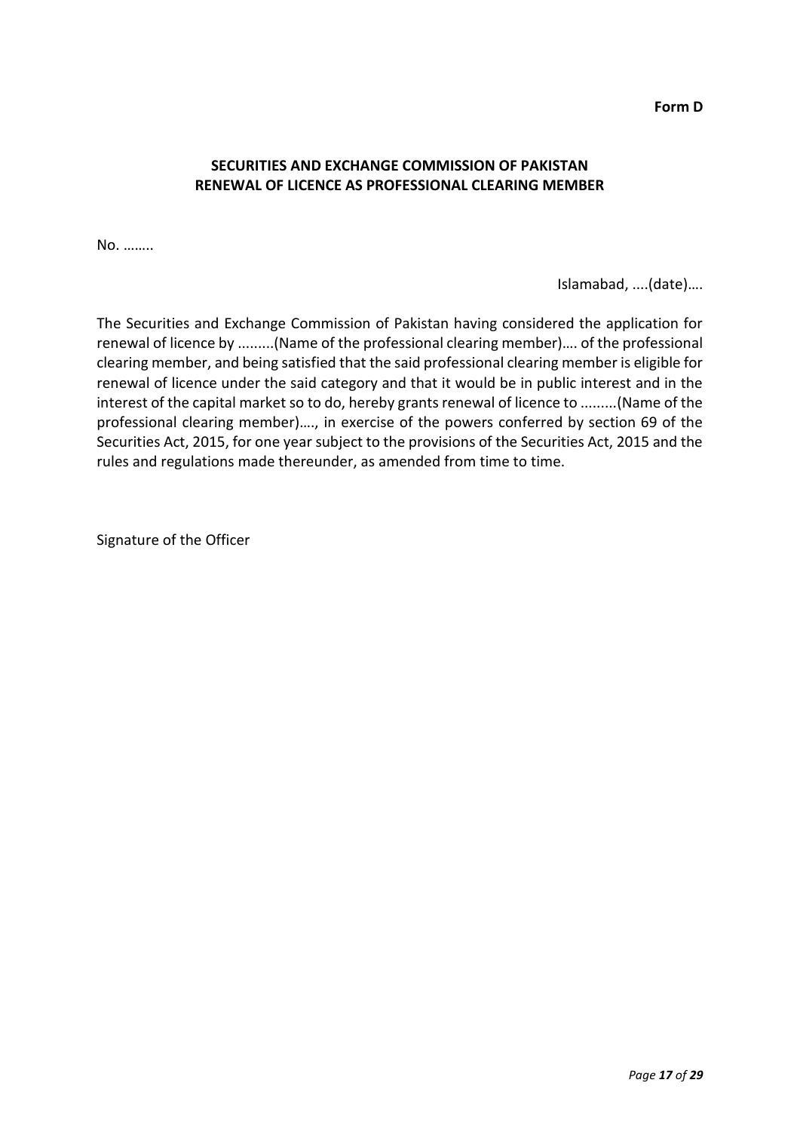**Form D**

## **SECURITIES AND EXCHANGE COMMISSION OF PAKISTAN RENEWAL OF LICENCE AS PROFESSIONAL CLEARING MEMBER**

No. ……..

Islamabad, ....(date)….

The Securities and Exchange Commission of Pakistan having considered the application for renewal of licence by .........(Name of the professional clearing member)…. of the professional clearing member, and being satisfied that the said professional clearing member is eligible for renewal of licence under the said category and that it would be in public interest and in the interest of the capital market so to do, hereby grants renewal of licence to .........(Name of the professional clearing member)…., in exercise of the powers conferred by section 69 of the Securities Act, 2015, for one year subject to the provisions of the Securities Act, 2015 and the rules and regulations made thereunder, as amended from time to time.

Signature of the Officer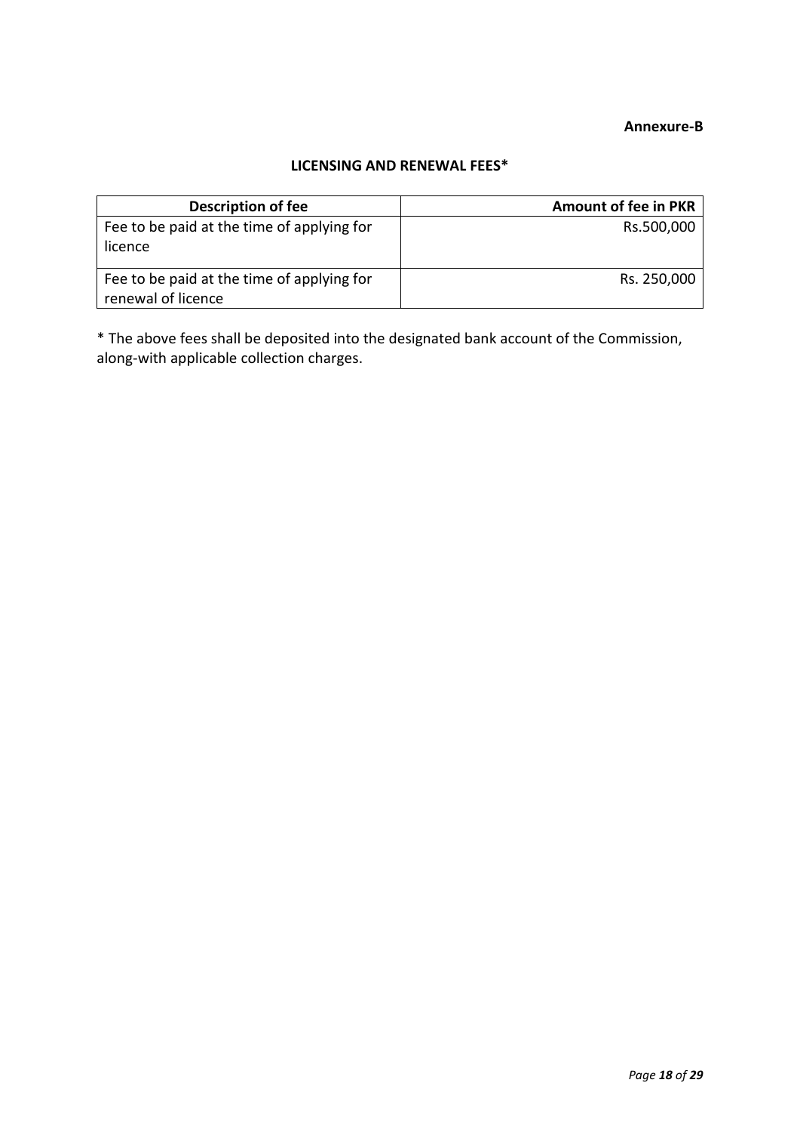# **Annexure-B**

### **LICENSING AND RENEWAL FEES\***

| <b>Description of fee</b>                                        | <b>Amount of fee in PKR</b> |
|------------------------------------------------------------------|-----------------------------|
| Fee to be paid at the time of applying for<br>licence            | Rs.500,000                  |
| Fee to be paid at the time of applying for<br>renewal of licence | Rs. 250,000                 |

\* The above fees shall be deposited into the designated bank account of the Commission, along-with applicable collection charges.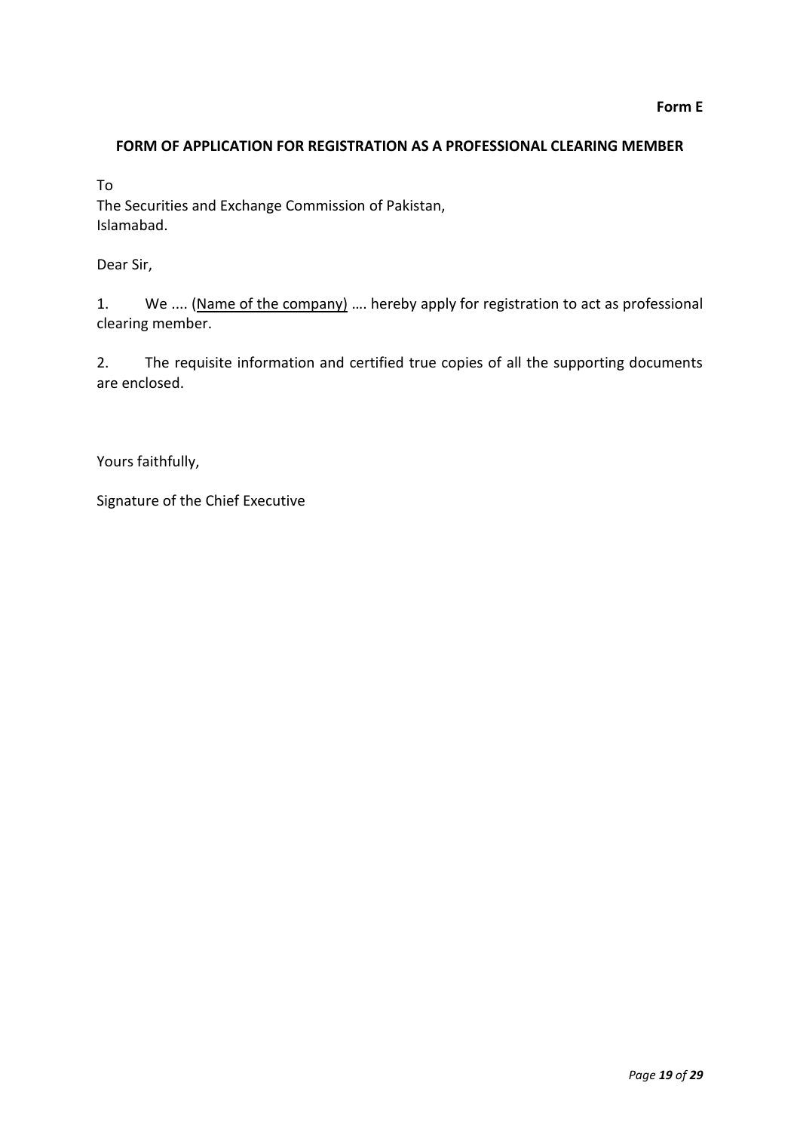# **FORM OF APPLICATION FOR REGISTRATION AS A PROFESSIONAL CLEARING MEMBER**

To

The Securities and Exchange Commission of Pakistan, Islamabad.

Dear Sir,

1. We .... (Name of the company) .... hereby apply for registration to act as professional clearing member.

2. The requisite information and certified true copies of all the supporting documents are enclosed.

Yours faithfully,

Signature of the Chief Executive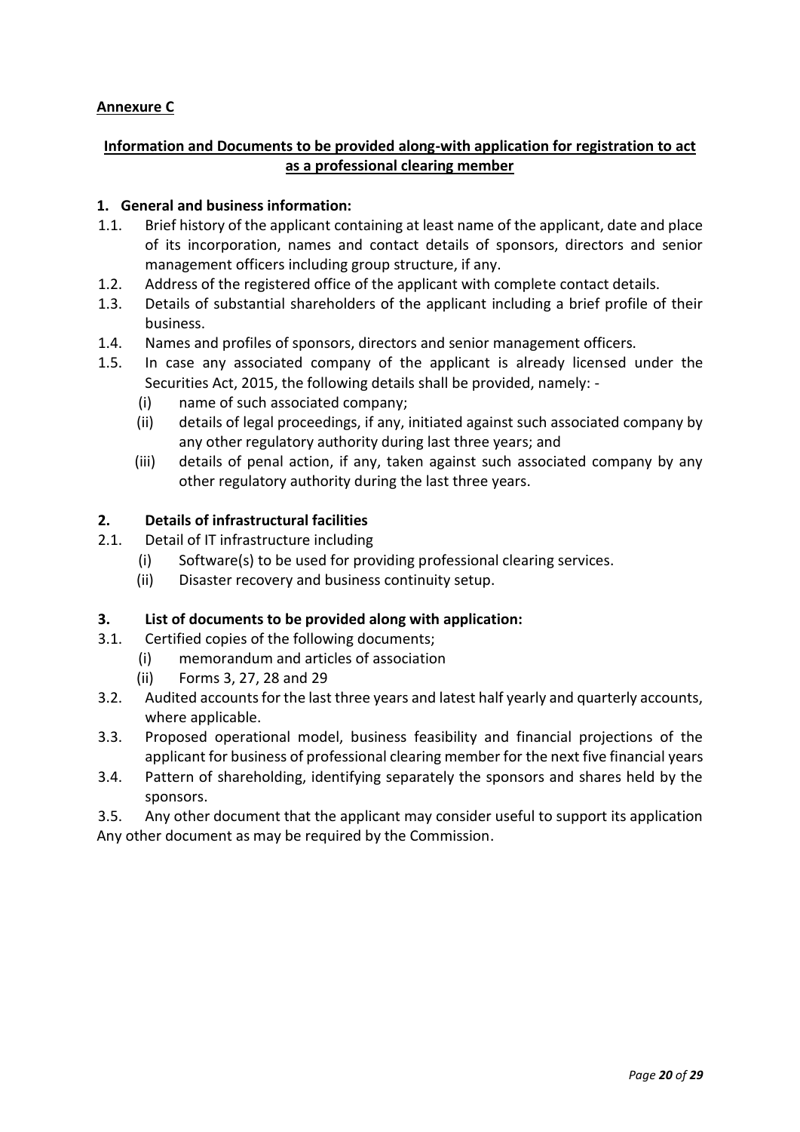# **Annexure C**

# **Information and Documents to be provided along-with application for registration to act as a professional clearing member**

### **1. General and business information:**

- 1.1. Brief history of the applicant containing at least name of the applicant, date and place of its incorporation, names and contact details of sponsors, directors and senior management officers including group structure, if any.
- 1.2. Address of the registered office of the applicant with complete contact details.
- 1.3. Details of substantial shareholders of the applicant including a brief profile of their business.
- 1.4. Names and profiles of sponsors, directors and senior management officers.
- 1.5. In case any associated company of the applicant is already licensed under the Securities Act, 2015, the following details shall be provided, namely: -
	- (i) name of such associated company;
	- (ii) details of legal proceedings, if any, initiated against such associated company by any other regulatory authority during last three years; and
	- (iii) details of penal action, if any, taken against such associated company by any other regulatory authority during the last three years.

### **2. Details of infrastructural facilities**

- 2.1. Detail of IT infrastructure including
	- (i) Software(s) to be used for providing professional clearing services.
	- (ii) Disaster recovery and business continuity setup.

### **3. List of documents to be provided along with application:**

- 3.1. Certified copies of the following documents;
	- (i) memorandum and articles of association
	- (ii) Forms 3, 27, 28 and 29
- 3.2. Audited accounts for the last three years and latest half yearly and quarterly accounts, where applicable.
- 3.3. Proposed operational model, business feasibility and financial projections of the applicant for business of professional clearing member for the next five financial years
- 3.4. Pattern of shareholding, identifying separately the sponsors and shares held by the sponsors.

3.5. Any other document that the applicant may consider useful to support its application Any other document as may be required by the Commission.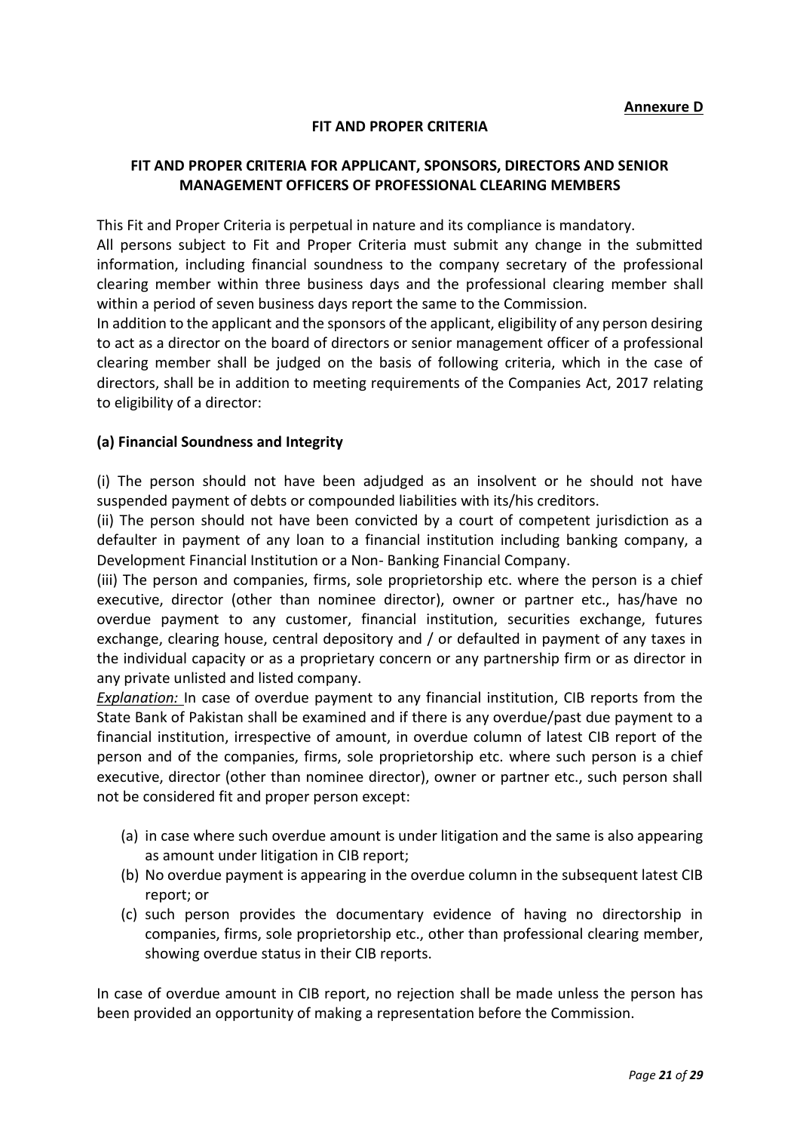#### **FIT AND PROPER CRITERIA**

### **FIT AND PROPER CRITERIA FOR APPLICANT, SPONSORS, DIRECTORS AND SENIOR MANAGEMENT OFFICERS OF PROFESSIONAL CLEARING MEMBERS**

This Fit and Proper Criteria is perpetual in nature and its compliance is mandatory.

All persons subject to Fit and Proper Criteria must submit any change in the submitted information, including financial soundness to the company secretary of the professional clearing member within three business days and the professional clearing member shall within a period of seven business days report the same to the Commission.

In addition to the applicant and the sponsors of the applicant, eligibility of any person desiring to act as a director on the board of directors or senior management officer of a professional clearing member shall be judged on the basis of following criteria, which in the case of directors, shall be in addition to meeting requirements of the Companies Act, 2017 relating to eligibility of a director:

#### **(a) Financial Soundness and Integrity**

(i) The person should not have been adjudged as an insolvent or he should not have suspended payment of debts or compounded liabilities with its/his creditors.

(ii) The person should not have been convicted by a court of competent jurisdiction as a defaulter in payment of any loan to a financial institution including banking company, a Development Financial Institution or a Non- Banking Financial Company.

(iii) The person and companies, firms, sole proprietorship etc. where the person is a chief executive, director (other than nominee director), owner or partner etc., has/have no overdue payment to any customer, financial institution, securities exchange, futures exchange, clearing house, central depository and / or defaulted in payment of any taxes in the individual capacity or as a proprietary concern or any partnership firm or as director in any private unlisted and listed company.

*Explanation:* In case of overdue payment to any financial institution, CIB reports from the State Bank of Pakistan shall be examined and if there is any overdue/past due payment to a financial institution, irrespective of amount, in overdue column of latest CIB report of the person and of the companies, firms, sole proprietorship etc. where such person is a chief executive, director (other than nominee director), owner or partner etc., such person shall not be considered fit and proper person except:

- (a) in case where such overdue amount is under litigation and the same is also appearing as amount under litigation in CIB report;
- (b) No overdue payment is appearing in the overdue column in the subsequent latest CIB report; or
- (c) such person provides the documentary evidence of having no directorship in companies, firms, sole proprietorship etc., other than professional clearing member, showing overdue status in their CIB reports.

In case of overdue amount in CIB report, no rejection shall be made unless the person has been provided an opportunity of making a representation before the Commission.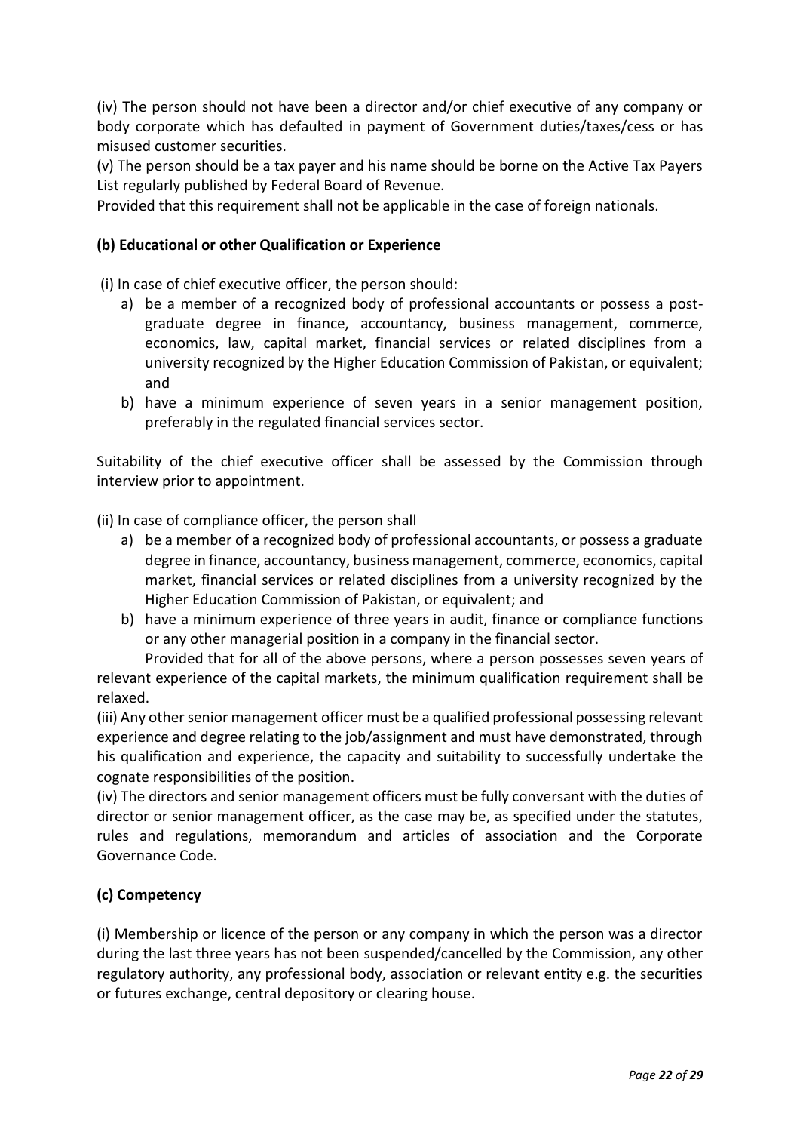(iv) The person should not have been a director and/or chief executive of any company or body corporate which has defaulted in payment of Government duties/taxes/cess or has misused customer securities.

(v) The person should be a tax payer and his name should be borne on the Active Tax Payers List regularly published by Federal Board of Revenue.

Provided that this requirement shall not be applicable in the case of foreign nationals.

## **(b) Educational or other Qualification or Experience**

(i) In case of chief executive officer, the person should:

- a) be a member of a recognized body of professional accountants or possess a postgraduate degree in finance, accountancy, business management, commerce, economics, law, capital market, financial services or related disciplines from a university recognized by the Higher Education Commission of Pakistan, or equivalent; and
- b) have a minimum experience of seven years in a senior management position, preferably in the regulated financial services sector.

Suitability of the chief executive officer shall be assessed by the Commission through interview prior to appointment.

(ii) In case of compliance officer, the person shall

- a) be a member of a recognized body of professional accountants, or possess a graduate degree in finance, accountancy, business management, commerce, economics, capital market, financial services or related disciplines from a university recognized by the Higher Education Commission of Pakistan, or equivalent; and
- b) have a minimum experience of three years in audit, finance or compliance functions or any other managerial position in a company in the financial sector.

Provided that for all of the above persons, where a person possesses seven years of relevant experience of the capital markets, the minimum qualification requirement shall be relaxed.

(iii) Any other senior management officer must be a qualified professional possessing relevant experience and degree relating to the job/assignment and must have demonstrated, through his qualification and experience, the capacity and suitability to successfully undertake the cognate responsibilities of the position.

(iv) The directors and senior management officers must be fully conversant with the duties of director or senior management officer, as the case may be, as specified under the statutes, rules and regulations, memorandum and articles of association and the Corporate Governance Code.

# **(c) Competency**

(i) Membership or licence of the person or any company in which the person was a director during the last three years has not been suspended/cancelled by the Commission, any other regulatory authority, any professional body, association or relevant entity e.g. the securities or futures exchange, central depository or clearing house.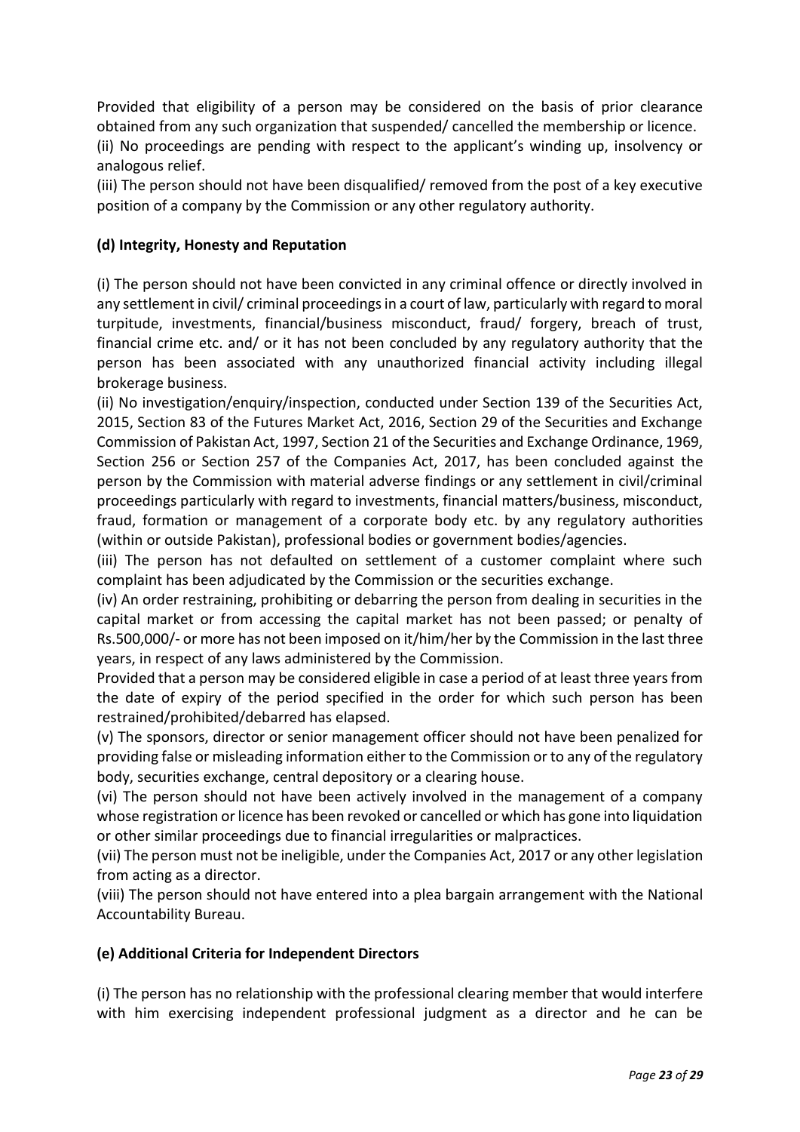Provided that eligibility of a person may be considered on the basis of prior clearance obtained from any such organization that suspended/ cancelled the membership or licence.

(ii) No proceedings are pending with respect to the applicant's winding up, insolvency or analogous relief.

(iii) The person should not have been disqualified/ removed from the post of a key executive position of a company by the Commission or any other regulatory authority.

## **(d) Integrity, Honesty and Reputation**

(i) The person should not have been convicted in any criminal offence or directly involved in any settlement in civil/ criminal proceedings in a court of law, particularly with regard to moral turpitude, investments, financial/business misconduct, fraud/ forgery, breach of trust, financial crime etc. and/ or it has not been concluded by any regulatory authority that the person has been associated with any unauthorized financial activity including illegal brokerage business.

(ii) No investigation/enquiry/inspection, conducted under Section 139 of the Securities Act, 2015, Section 83 of the Futures Market Act, 2016, Section 29 of the Securities and Exchange Commission of Pakistan Act, 1997, Section 21 of the Securities and Exchange Ordinance, 1969, Section 256 or Section 257 of the Companies Act, 2017, has been concluded against the person by the Commission with material adverse findings or any settlement in civil/criminal proceedings particularly with regard to investments, financial matters/business, misconduct, fraud, formation or management of a corporate body etc. by any regulatory authorities (within or outside Pakistan), professional bodies or government bodies/agencies.

(iii) The person has not defaulted on settlement of a customer complaint where such complaint has been adjudicated by the Commission or the securities exchange.

(iv) An order restraining, prohibiting or debarring the person from dealing in securities in the capital market or from accessing the capital market has not been passed; or penalty of Rs.500,000/- or more has not been imposed on it/him/her by the Commission in the last three years, in respect of any laws administered by the Commission.

Provided that a person may be considered eligible in case a period of at least three years from the date of expiry of the period specified in the order for which such person has been restrained/prohibited/debarred has elapsed.

(v) The sponsors, director or senior management officer should not have been penalized for providing false or misleading information either to the Commission or to any of the regulatory body, securities exchange, central depository or a clearing house.

(vi) The person should not have been actively involved in the management of a company whose registration or licence has been revoked or cancelled or which has gone into liquidation or other similar proceedings due to financial irregularities or malpractices.

(vii) The person must not be ineligible, under the Companies Act, 2017 or any other legislation from acting as a director.

(viii) The person should not have entered into a plea bargain arrangement with the National Accountability Bureau.

### **(e) Additional Criteria for Independent Directors**

(i) The person has no relationship with the professional clearing member that would interfere with him exercising independent professional judgment as a director and he can be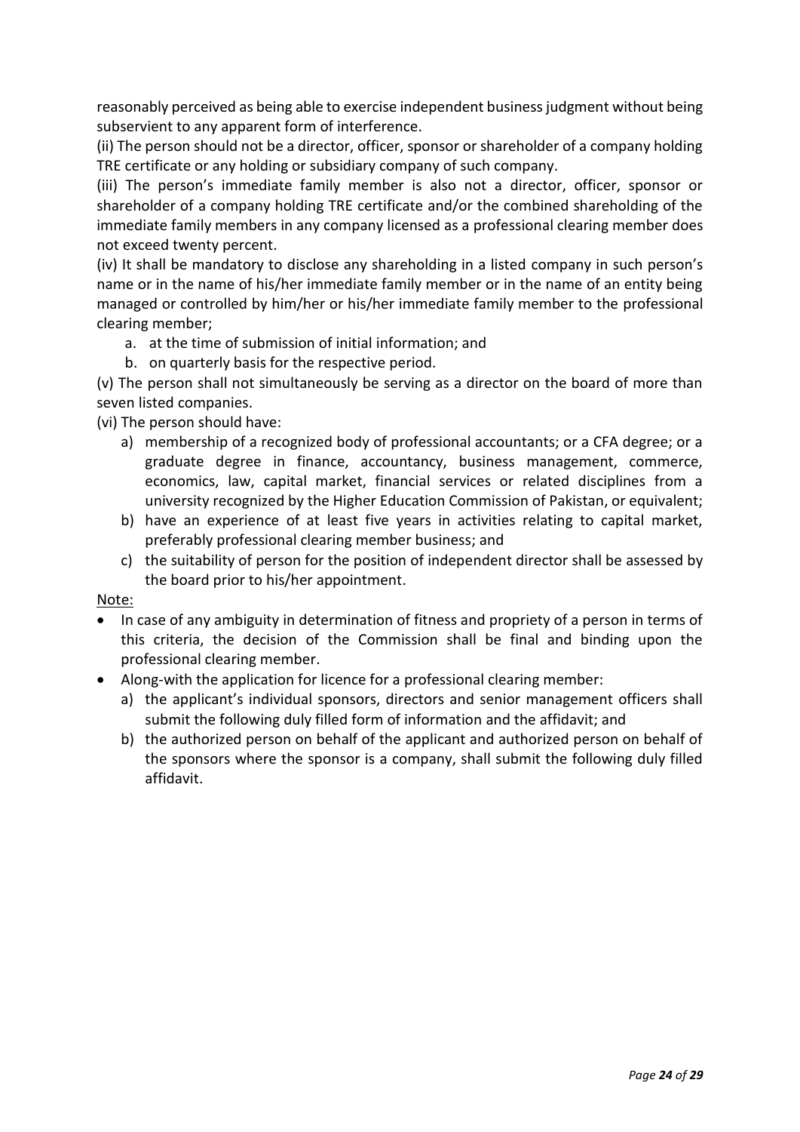reasonably perceived as being able to exercise independent business judgment without being subservient to any apparent form of interference.

(ii) The person should not be a director, officer, sponsor or shareholder of a company holding TRE certificate or any holding or subsidiary company of such company.

(iii) The person's immediate family member is also not a director, officer, sponsor or shareholder of a company holding TRE certificate and/or the combined shareholding of the immediate family members in any company licensed as a professional clearing member does not exceed twenty percent.

(iv) It shall be mandatory to disclose any shareholding in a listed company in such person's name or in the name of his/her immediate family member or in the name of an entity being managed or controlled by him/her or his/her immediate family member to the professional clearing member;

- a. at the time of submission of initial information; and
- b. on quarterly basis for the respective period.

(v) The person shall not simultaneously be serving as a director on the board of more than seven listed companies.

(vi) The person should have:

- a) membership of a recognized body of professional accountants; or a CFA degree; or a graduate degree in finance, accountancy, business management, commerce, economics, law, capital market, financial services or related disciplines from a university recognized by the Higher Education Commission of Pakistan, or equivalent;
- b) have an experience of at least five years in activities relating to capital market, preferably professional clearing member business; and
- c) the suitability of person for the position of independent director shall be assessed by the board prior to his/her appointment.

Note:

- In case of any ambiguity in determination of fitness and propriety of a person in terms of this criteria, the decision of the Commission shall be final and binding upon the professional clearing member.
- Along-with the application for licence for a professional clearing member:
	- a) the applicant's individual sponsors, directors and senior management officers shall submit the following duly filled form of information and the affidavit; and
	- b) the authorized person on behalf of the applicant and authorized person on behalf of the sponsors where the sponsor is a company, shall submit the following duly filled affidavit.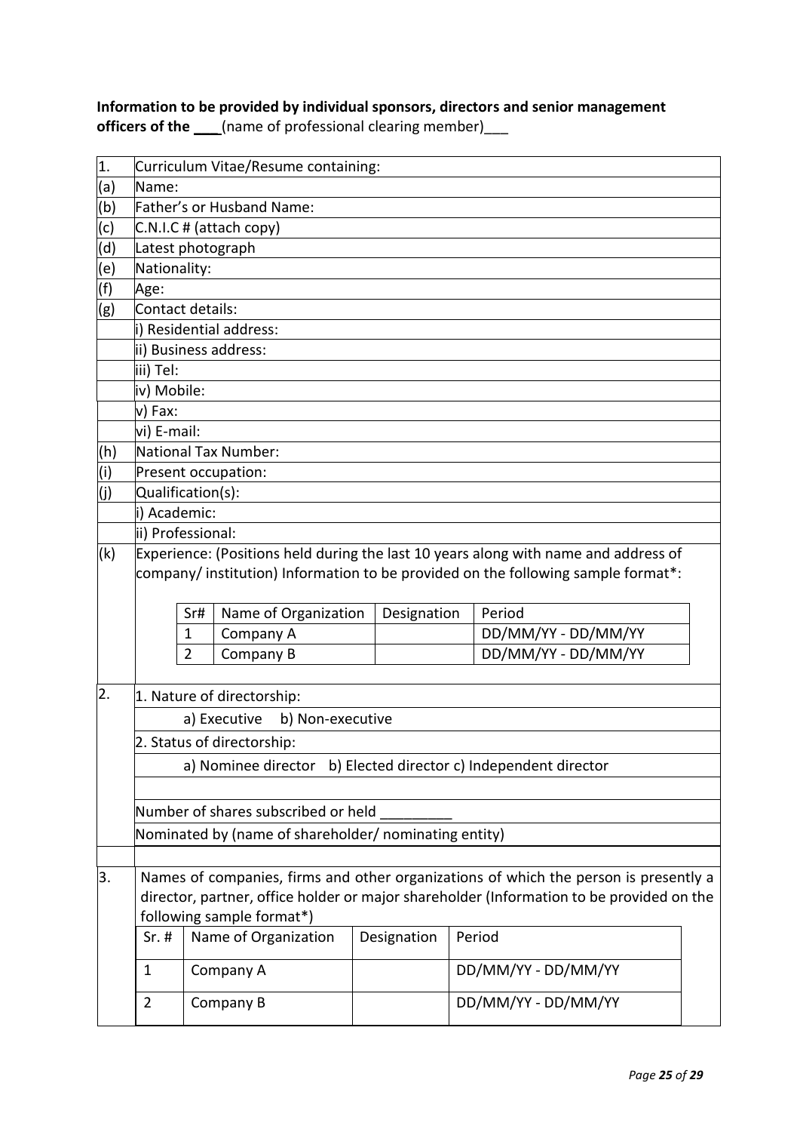# **Information to be provided by individual sponsors, directors and senior management officers of the \_\_\_\_** (name of professional clearing member)\_\_\_

| 1.               | Curriculum Vitae/Resume containing:                                                                                                      |                                                                 |                         |  |             |  |                                                                                      |  |
|------------------|------------------------------------------------------------------------------------------------------------------------------------------|-----------------------------------------------------------------|-------------------------|--|-------------|--|--------------------------------------------------------------------------------------|--|
| (a)              | Name:                                                                                                                                    |                                                                 |                         |  |             |  |                                                                                      |  |
| (b)              | Father's or Husband Name:                                                                                                                |                                                                 |                         |  |             |  |                                                                                      |  |
| (c)              |                                                                                                                                          |                                                                 | C.N.I.C # (attach copy) |  |             |  |                                                                                      |  |
| (d)              | Latest photograph                                                                                                                        |                                                                 |                         |  |             |  |                                                                                      |  |
| (e)              | Nationality:                                                                                                                             |                                                                 |                         |  |             |  |                                                                                      |  |
| (f)              | Age:                                                                                                                                     |                                                                 |                         |  |             |  |                                                                                      |  |
| (g)              | Contact details:                                                                                                                         |                                                                 |                         |  |             |  |                                                                                      |  |
|                  | i) Residential address:                                                                                                                  |                                                                 |                         |  |             |  |                                                                                      |  |
|                  | ii) Business address:                                                                                                                    |                                                                 |                         |  |             |  |                                                                                      |  |
|                  | iii) Tel:                                                                                                                                |                                                                 |                         |  |             |  |                                                                                      |  |
|                  | iv) Mobile:                                                                                                                              |                                                                 |                         |  |             |  |                                                                                      |  |
|                  | v) Fax:                                                                                                                                  |                                                                 |                         |  |             |  |                                                                                      |  |
|                  | vi) E-mail:                                                                                                                              |                                                                 |                         |  |             |  |                                                                                      |  |
| (h)              | National Tax Number:                                                                                                                     |                                                                 |                         |  |             |  |                                                                                      |  |
| (i)              | Present occupation:                                                                                                                      |                                                                 |                         |  |             |  |                                                                                      |  |
| (j)              | Qualification(s):                                                                                                                        |                                                                 |                         |  |             |  |                                                                                      |  |
|                  | i) Academic:                                                                                                                             |                                                                 |                         |  |             |  |                                                                                      |  |
|                  | ii) Professional:                                                                                                                        |                                                                 |                         |  |             |  |                                                                                      |  |
|                  | company/institution) Information to be provided on the following sample format*:<br>Name of Organization<br>Designation<br>Period<br>Sr# |                                                                 |                         |  |             |  |                                                                                      |  |
|                  |                                                                                                                                          | $\mathbf 1$                                                     | Company A               |  |             |  | DD/MM/YY - DD/MM/YY                                                                  |  |
|                  |                                                                                                                                          | 2                                                               | Company B               |  |             |  | DD/MM/YY - DD/MM/YY                                                                  |  |
| $\overline{2}$ . |                                                                                                                                          |                                                                 |                         |  |             |  |                                                                                      |  |
|                  | 1. Nature of directorship:                                                                                                               |                                                                 |                         |  |             |  |                                                                                      |  |
|                  | a) Executive<br>b) Non-executive                                                                                                         |                                                                 |                         |  |             |  |                                                                                      |  |
|                  | 2. Status of directorship:                                                                                                               |                                                                 |                         |  |             |  |                                                                                      |  |
|                  |                                                                                                                                          | a) Nominee director b) Elected director c) Independent director |                         |  |             |  |                                                                                      |  |
|                  |                                                                                                                                          |                                                                 |                         |  |             |  |                                                                                      |  |
|                  | Number of shares subscribed or held                                                                                                      |                                                                 |                         |  |             |  |                                                                                      |  |
|                  | Nominated by (name of shareholder/ nominating entity)                                                                                    |                                                                 |                         |  |             |  |                                                                                      |  |
|                  |                                                                                                                                          |                                                                 |                         |  |             |  |                                                                                      |  |
| 3.               |                                                                                                                                          |                                                                 |                         |  |             |  | Names of companies, firms and other organizations of which the person is presently a |  |
|                  | director, partner, office holder or major shareholder (Information to be provided on the                                                 |                                                                 |                         |  |             |  |                                                                                      |  |
|                  | following sample format*)                                                                                                                |                                                                 |                         |  |             |  |                                                                                      |  |
|                  | $Sr.$ #                                                                                                                                  |                                                                 | Name of Organization    |  | Designation |  | Period                                                                               |  |
|                  | $\mathbf{1}$                                                                                                                             |                                                                 | Company A               |  |             |  | DD/MM/YY - DD/MM/YY                                                                  |  |
|                  |                                                                                                                                          |                                                                 |                         |  |             |  |                                                                                      |  |
|                  | $\overline{2}$                                                                                                                           |                                                                 | Company B               |  |             |  | DD/MM/YY - DD/MM/YY                                                                  |  |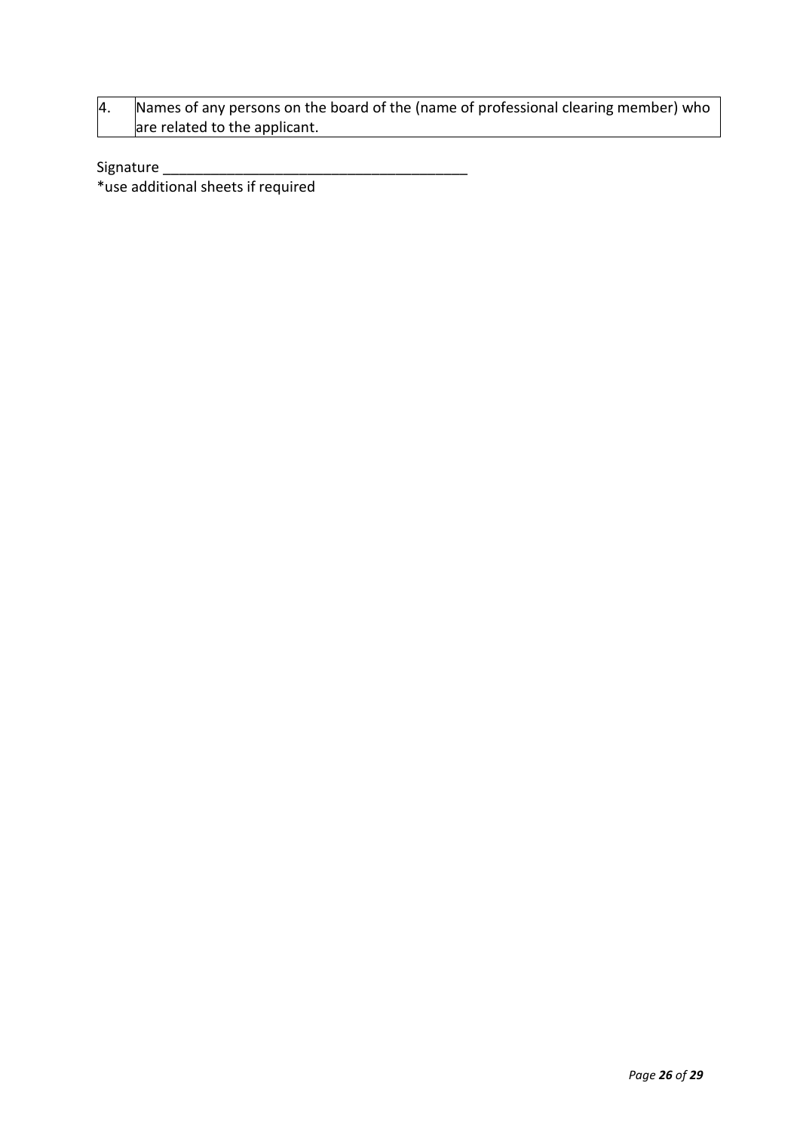4. Names of any persons on the board of the (name of professional clearing member) who are related to the applicant.

Signature \_\_\_\_\_\_\_\_\_\_\_\_\_\_\_\_\_\_\_\_\_\_\_\_\_\_\_\_\_\_\_\_\_\_\_\_\_\_

\*use additional sheets if required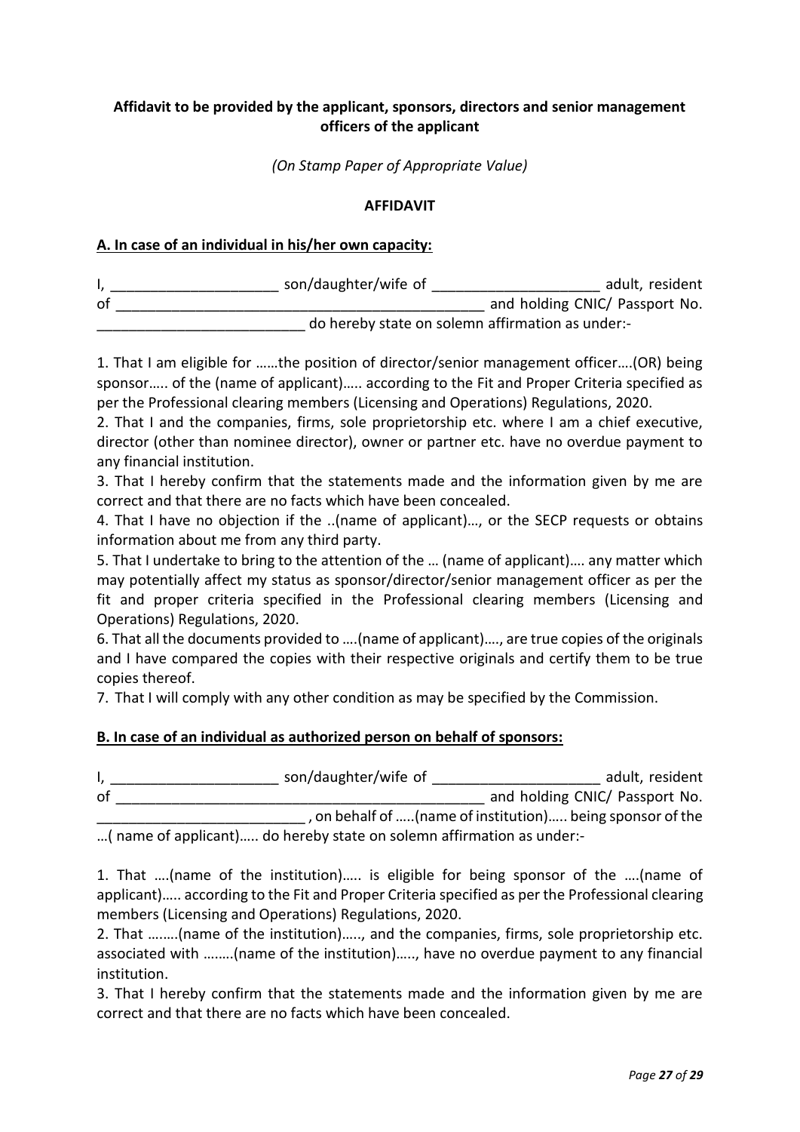# **Affidavit to be provided by the applicant, sponsors, directors and senior management officers of the applicant**

*(On Stamp Paper of Appropriate Value)*

#### **AFFIDAVIT**

#### **A. In case of an individual in his/her own capacity:**

|    | son/daughter/wife of | adult, resident                                  |  |  |  |
|----|----------------------|--------------------------------------------------|--|--|--|
| of |                      | and holding CNIC/ Passport No.                   |  |  |  |
|    |                      | do hereby state on solemn affirmation as under:- |  |  |  |

1. That I am eligible for ……the position of director/senior management officer….(OR) being sponsor….. of the (name of applicant)….. according to the Fit and Proper Criteria specified as per the Professional clearing members (Licensing and Operations) Regulations, 2020.

2. That I and the companies, firms, sole proprietorship etc. where I am a chief executive, director (other than nominee director), owner or partner etc. have no overdue payment to any financial institution.

3. That I hereby confirm that the statements made and the information given by me are correct and that there are no facts which have been concealed.

4. That I have no objection if the ..(name of applicant)…, or the SECP requests or obtains information about me from any third party.

5. That I undertake to bring to the attention of the … (name of applicant)…. any matter which may potentially affect my status as sponsor/director/senior management officer as per the fit and proper criteria specified in the Professional clearing members (Licensing and Operations) Regulations, 2020.

6. That all the documents provided to ….(name of applicant)…., are true copies of the originals and I have compared the copies with their respective originals and certify them to be true copies thereof.

7. That I will comply with any other condition as may be specified by the Commission.

### **B. In case of an individual as authorized person on behalf of sponsors:**

I, \_\_\_\_\_\_\_\_\_\_\_\_\_\_\_\_\_\_\_\_\_\_\_\_\_\_\_ son/daughter/wife of \_\_\_\_\_\_\_\_\_\_\_\_\_\_\_\_\_\_\_\_\_\_\_\_\_\_\_\_ adult, resident of \_\_\_\_\_\_\_\_\_\_\_\_\_\_\_\_\_\_\_\_\_\_\_\_\_\_\_\_\_\_\_\_\_\_\_\_\_\_\_\_\_\_\_\_\_\_ and holding CNIC/ Passport No. \_\_\_\_\_\_\_\_\_\_\_\_\_\_\_\_\_\_\_\_\_\_\_\_\_\_ , on behalf of …..(name of institution)….. being sponsor of the

…( name of applicant)….. do hereby state on solemn affirmation as under:-

1. That ….(name of the institution)….. is eligible for being sponsor of the ….(name of applicant)….. according to the Fit and Proper Criteria specified as per the Professional clearing members (Licensing and Operations) Regulations, 2020.

2. That ….….(name of the institution)….., and the companies, firms, sole proprietorship etc. associated with ….….(name of the institution)….., have no overdue payment to any financial institution.

3. That I hereby confirm that the statements made and the information given by me are correct and that there are no facts which have been concealed.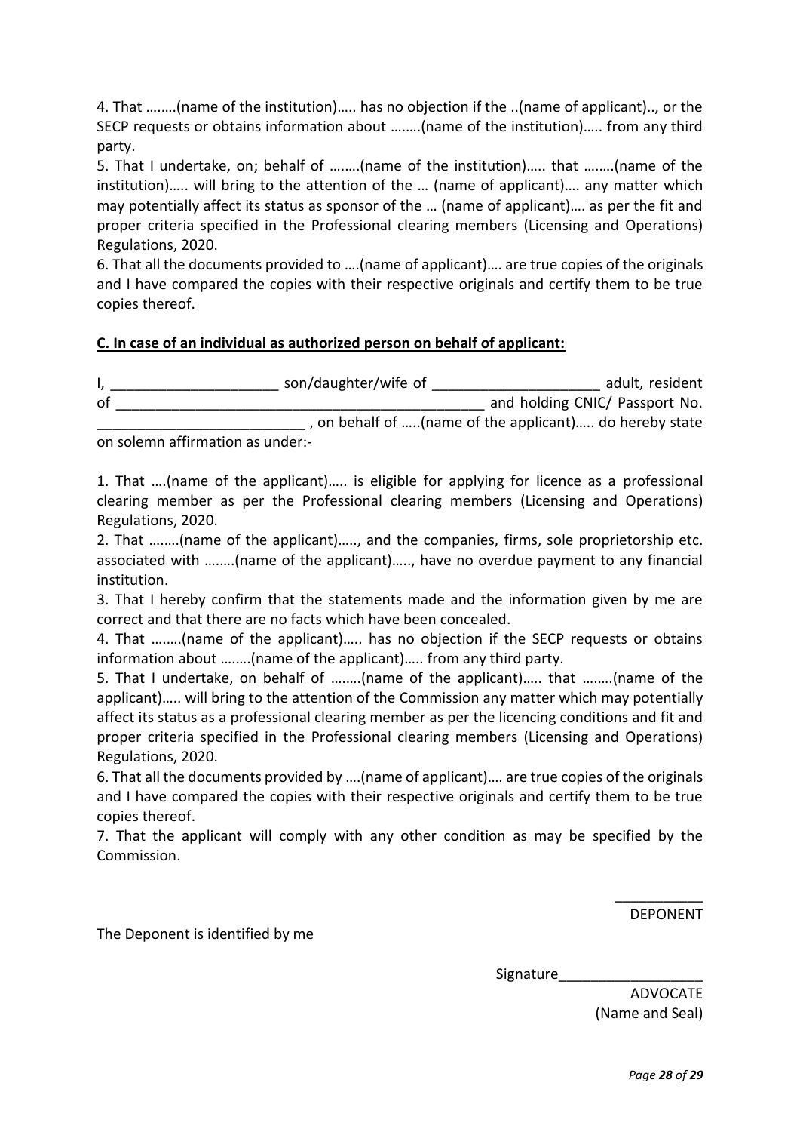4. That ….….(name of the institution)….. has no objection if the ..(name of applicant).., or the SECP requests or obtains information about ….….(name of the institution)….. from any third party.

5. That I undertake, on; behalf of ….….(name of the institution)….. that ….….(name of the institution)….. will bring to the attention of the … (name of applicant)…. any matter which may potentially affect its status as sponsor of the … (name of applicant)…. as per the fit and proper criteria specified in the Professional clearing members (Licensing and Operations) Regulations, 2020.

6. That all the documents provided to ….(name of applicant)…. are true copies of the originals and I have compared the copies with their respective originals and certify them to be true copies thereof.

### **C. In case of an individual as authorized person on behalf of applicant:**

I, \_\_\_\_\_\_\_\_\_\_\_\_\_\_\_\_\_\_\_\_\_\_\_\_\_\_\_ son/daughter/wife of \_\_\_\_\_\_\_\_\_\_\_\_\_\_\_\_\_\_\_\_\_\_\_\_\_\_\_\_ adult, resident of \_\_\_\_\_\_\_\_\_\_\_\_\_\_\_\_\_\_\_\_\_\_\_\_\_\_\_\_\_\_\_\_\_\_\_\_\_\_\_\_\_\_\_\_\_\_ and holding CNIC/ Passport No. \_\_\_\_\_\_\_\_\_\_\_\_\_\_\_\_\_\_\_\_\_\_\_\_\_\_ , on behalf of …..(name of the applicant)….. do hereby state

on solemn affirmation as under:-

1. That ….(name of the applicant)….. is eligible for applying for licence as a professional clearing member as per the Professional clearing members (Licensing and Operations) Regulations, 2020.

2. That ….….(name of the applicant)….., and the companies, firms, sole proprietorship etc. associated with ….….(name of the applicant)….., have no overdue payment to any financial institution.

3. That I hereby confirm that the statements made and the information given by me are correct and that there are no facts which have been concealed.

4. That ….….(name of the applicant)….. has no objection if the SECP requests or obtains information about ….….(name of the applicant)….. from any third party.

5. That I undertake, on behalf of ….….(name of the applicant)….. that ….….(name of the applicant)….. will bring to the attention of the Commission any matter which may potentially affect its status as a professional clearing member as per the licencing conditions and fit and proper criteria specified in the Professional clearing members (Licensing and Operations) Regulations, 2020.

6. That all the documents provided by ….(name of applicant)…. are true copies of the originals and I have compared the copies with their respective originals and certify them to be true copies thereof.

7. That the applicant will comply with any other condition as may be specified by the Commission.

> \_\_\_\_\_\_\_\_\_\_\_ DEPONENT

The Deponent is identified by me

Signature

ADVOCATE (Name and Seal)